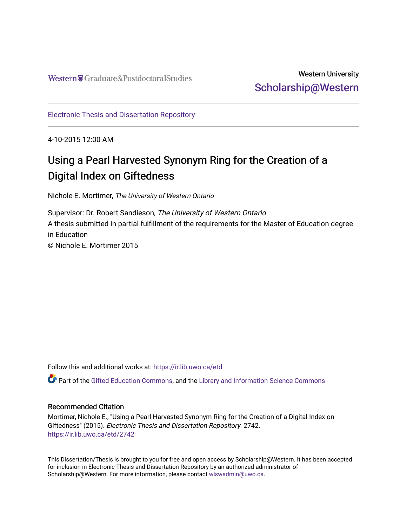## Western University [Scholarship@Western](https://ir.lib.uwo.ca/)

[Electronic Thesis and Dissertation Repository](https://ir.lib.uwo.ca/etd)

4-10-2015 12:00 AM

# Using a Pearl Harvested Synonym Ring for the Creation of a Digital Index on Giftedness

Nichole E. Mortimer, The University of Western Ontario

Supervisor: Dr. Robert Sandieson, The University of Western Ontario A thesis submitted in partial fulfillment of the requirements for the Master of Education degree in Education © Nichole E. Mortimer 2015

Follow this and additional works at: [https://ir.lib.uwo.ca/etd](https://ir.lib.uwo.ca/etd?utm_source=ir.lib.uwo.ca%2Fetd%2F2742&utm_medium=PDF&utm_campaign=PDFCoverPages) 

Part of the [Gifted Education Commons,](http://network.bepress.com/hgg/discipline/1048?utm_source=ir.lib.uwo.ca%2Fetd%2F2742&utm_medium=PDF&utm_campaign=PDFCoverPages) and the [Library and Information Science Commons](http://network.bepress.com/hgg/discipline/1018?utm_source=ir.lib.uwo.ca%2Fetd%2F2742&utm_medium=PDF&utm_campaign=PDFCoverPages)

#### Recommended Citation

Mortimer, Nichole E., "Using a Pearl Harvested Synonym Ring for the Creation of a Digital Index on Giftedness" (2015). Electronic Thesis and Dissertation Repository. 2742. [https://ir.lib.uwo.ca/etd/2742](https://ir.lib.uwo.ca/etd/2742?utm_source=ir.lib.uwo.ca%2Fetd%2F2742&utm_medium=PDF&utm_campaign=PDFCoverPages)

This Dissertation/Thesis is brought to you for free and open access by Scholarship@Western. It has been accepted for inclusion in Electronic Thesis and Dissertation Repository by an authorized administrator of Scholarship@Western. For more information, please contact [wlswadmin@uwo.ca.](mailto:wlswadmin@uwo.ca)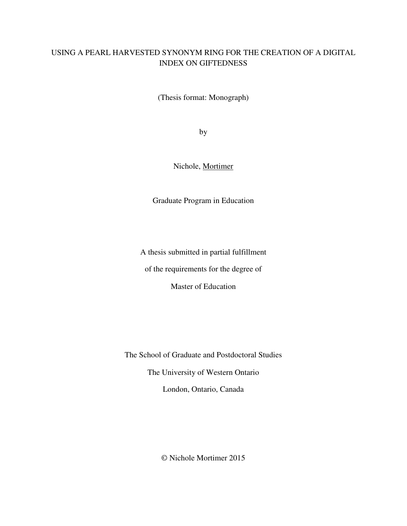## USING A PEARL HARVESTED SYNONYM RING FOR THE CREATION OF A DIGITAL INDEX ON GIFTEDNESS

(Thesis format: Monograph)

by

Nichole, Mortimer

Graduate Program in Education

A thesis submitted in partial fulfillment

of the requirements for the degree of

Master of Education

The School of Graduate and Postdoctoral Studies

The University of Western Ontario

London, Ontario, Canada

© Nichole Mortimer 2015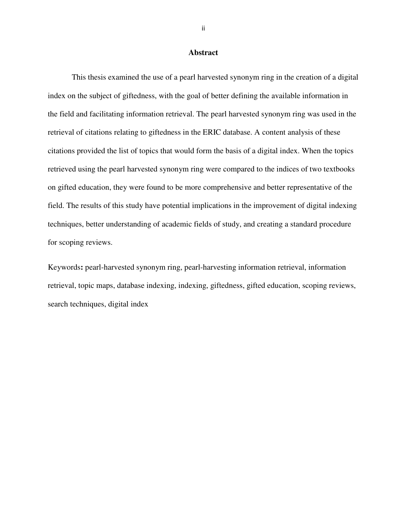#### **Abstract**

 This thesis examined the use of a pearl harvested synonym ring in the creation of a digital index on the subject of giftedness, with the goal of better defining the available information in the field and facilitating information retrieval. The pearl harvested synonym ring was used in the retrieval of citations relating to giftedness in the ERIC database. A content analysis of these citations provided the list of topics that would form the basis of a digital index. When the topics retrieved using the pearl harvested synonym ring were compared to the indices of two textbooks on gifted education, they were found to be more comprehensive and better representative of the field. The results of this study have potential implications in the improvement of digital indexing techniques, better understanding of academic fields of study, and creating a standard procedure for scoping reviews.

Keywords**:** pearl-harvested synonym ring, pearl-harvesting information retrieval, information retrieval, topic maps, database indexing, indexing, giftedness, gifted education, scoping reviews, search techniques, digital index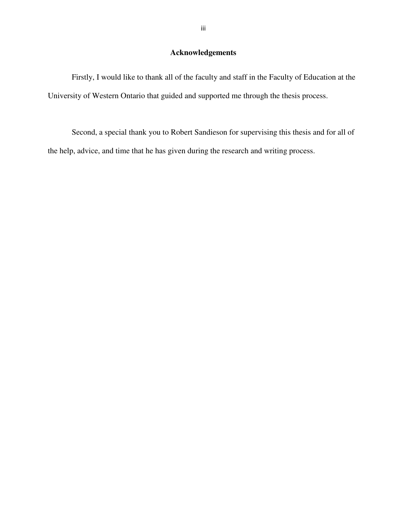### **Acknowledgements**

 Firstly, I would like to thank all of the faculty and staff in the Faculty of Education at the University of Western Ontario that guided and supported me through the thesis process.

 Second, a special thank you to Robert Sandieson for supervising this thesis and for all of the help, advice, and time that he has given during the research and writing process.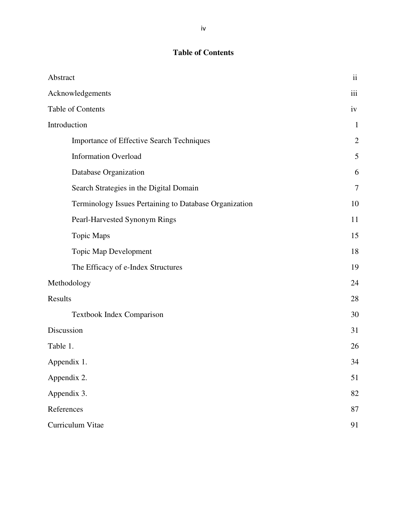## **Table of Contents**

| Abstract                                               | $\ddot{\rm ii}$ |
|--------------------------------------------------------|-----------------|
| Acknowledgements                                       | iii             |
| Table of Contents                                      | iv              |
| Introduction                                           | $\mathbf{1}$    |
| Importance of Effective Search Techniques              | $\overline{2}$  |
| <b>Information Overload</b>                            | 5               |
| Database Organization                                  | 6               |
| Search Strategies in the Digital Domain                | $\overline{7}$  |
| Terminology Issues Pertaining to Database Organization | 10              |
| Pearl-Harvested Synonym Rings                          | 11              |
| <b>Topic Maps</b>                                      | 15              |
| <b>Topic Map Development</b>                           | 18              |
| The Efficacy of e-Index Structures                     | 19              |
| Methodology                                            | 24              |
| Results                                                | 28              |
| Textbook Index Comparison                              | 30              |
| Discussion                                             | 31              |
| Table 1.                                               | 26              |
| Appendix 1.                                            | 34              |
| Appendix 2.                                            | 51              |
| Appendix 3.                                            | 82              |
| References                                             | 87              |
| Curriculum Vitae                                       | 91              |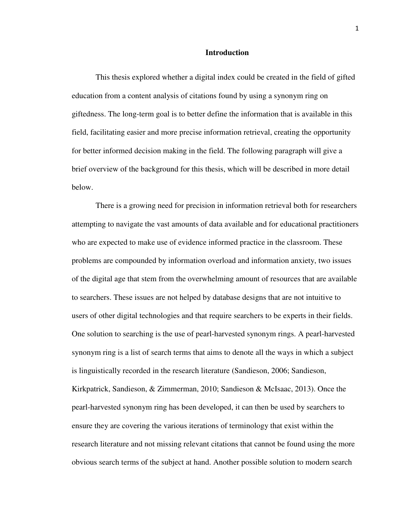#### **Introduction**

This thesis explored whether a digital index could be created in the field of gifted education from a content analysis of citations found by using a synonym ring on giftedness. The long-term goal is to better define the information that is available in this field, facilitating easier and more precise information retrieval, creating the opportunity for better informed decision making in the field. The following paragraph will give a brief overview of the background for this thesis, which will be described in more detail below.

 There is a growing need for precision in information retrieval both for researchers attempting to navigate the vast amounts of data available and for educational practitioners who are expected to make use of evidence informed practice in the classroom. These problems are compounded by information overload and information anxiety, two issues of the digital age that stem from the overwhelming amount of resources that are available to searchers. These issues are not helped by database designs that are not intuitive to users of other digital technologies and that require searchers to be experts in their fields. One solution to searching is the use of pearl-harvested synonym rings. A pearl-harvested synonym ring is a list of search terms that aims to denote all the ways in which a subject is linguistically recorded in the research literature (Sandieson, 2006; Sandieson, Kirkpatrick, Sandieson, & Zimmerman, 2010; Sandieson & McIsaac, 2013). Once the pearl-harvested synonym ring has been developed, it can then be used by searchers to ensure they are covering the various iterations of terminology that exist within the research literature and not missing relevant citations that cannot be found using the more obvious search terms of the subject at hand. Another possible solution to modern search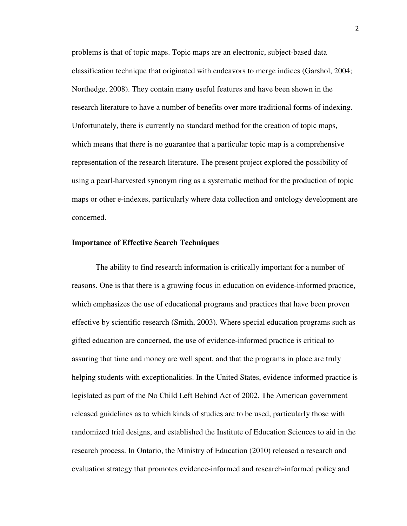problems is that of topic maps. Topic maps are an electronic, subject-based data classification technique that originated with endeavors to merge indices (Garshol, 2004; Northedge, 2008). They contain many useful features and have been shown in the research literature to have a number of benefits over more traditional forms of indexing. Unfortunately, there is currently no standard method for the creation of topic maps, which means that there is no guarantee that a particular topic map is a comprehensive representation of the research literature. The present project explored the possibility of using a pearl-harvested synonym ring as a systematic method for the production of topic maps or other e-indexes, particularly where data collection and ontology development are concerned.

#### **Importance of Effective Search Techniques**

The ability to find research information is critically important for a number of reasons. One is that there is a growing focus in education on evidence-informed practice, which emphasizes the use of educational programs and practices that have been proven effective by scientific research (Smith, 2003). Where special education programs such as gifted education are concerned, the use of evidence-informed practice is critical to assuring that time and money are well spent, and that the programs in place are truly helping students with exceptionalities. In the United States, evidence-informed practice is legislated as part of the No Child Left Behind Act of 2002. The American government released guidelines as to which kinds of studies are to be used, particularly those with randomized trial designs, and established the Institute of Education Sciences to aid in the research process. In Ontario, the Ministry of Education (2010) released a research and evaluation strategy that promotes evidence-informed and research-informed policy and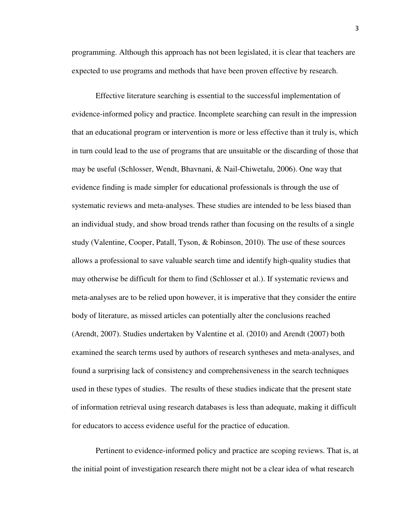programming. Although this approach has not been legislated, it is clear that teachers are expected to use programs and methods that have been proven effective by research.

Effective literature searching is essential to the successful implementation of evidence-informed policy and practice. Incomplete searching can result in the impression that an educational program or intervention is more or less effective than it truly is, which in turn could lead to the use of programs that are unsuitable or the discarding of those that may be useful (Schlosser, Wendt, Bhavnani, & Nail-Chiwetalu, 2006). One way that evidence finding is made simpler for educational professionals is through the use of systematic reviews and meta-analyses. These studies are intended to be less biased than an individual study, and show broad trends rather than focusing on the results of a single study (Valentine, Cooper, Patall, Tyson, & Robinson, 2010). The use of these sources allows a professional to save valuable search time and identify high-quality studies that may otherwise be difficult for them to find (Schlosser et al.). If systematic reviews and meta-analyses are to be relied upon however, it is imperative that they consider the entire body of literature, as missed articles can potentially alter the conclusions reached (Arendt, 2007). Studies undertaken by Valentine et al. (2010) and Arendt (2007) both examined the search terms used by authors of research syntheses and meta-analyses, and found a surprising lack of consistency and comprehensiveness in the search techniques used in these types of studies. The results of these studies indicate that the present state of information retrieval using research databases is less than adequate, making it difficult for educators to access evidence useful for the practice of education.

Pertinent to evidence-informed policy and practice are scoping reviews. That is, at the initial point of investigation research there might not be a clear idea of what research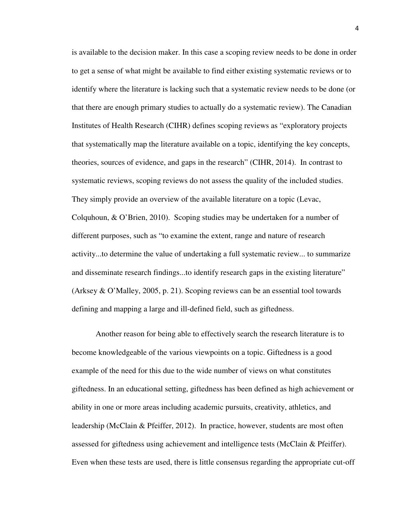is available to the decision maker. In this case a scoping review needs to be done in order to get a sense of what might be available to find either existing systematic reviews or to identify where the literature is lacking such that a systematic review needs to be done (or that there are enough primary studies to actually do a systematic review). The Canadian Institutes of Health Research (CIHR) defines scoping reviews as "exploratory projects that systematically map the literature available on a topic, identifying the key concepts, theories, sources of evidence, and gaps in the research" (CIHR, 2014). In contrast to systematic reviews, scoping reviews do not assess the quality of the included studies. They simply provide an overview of the available literature on a topic (Levac, Colquhoun, & O'Brien, 2010). Scoping studies may be undertaken for a number of different purposes, such as "to examine the extent, range and nature of research activity...to determine the value of undertaking a full systematic review... to summarize and disseminate research findings...to identify research gaps in the existing literature" (Arksey & O'Malley, 2005, p. 21). Scoping reviews can be an essential tool towards defining and mapping a large and ill-defined field, such as giftedness.

Another reason for being able to effectively search the research literature is to become knowledgeable of the various viewpoints on a topic. Giftedness is a good example of the need for this due to the wide number of views on what constitutes giftedness. In an educational setting, giftedness has been defined as high achievement or ability in one or more areas including academic pursuits, creativity, athletics, and leadership (McClain & Pfeiffer, 2012). In practice, however, students are most often assessed for giftedness using achievement and intelligence tests (McClain & Pfeiffer). Even when these tests are used, there is little consensus regarding the appropriate cut-off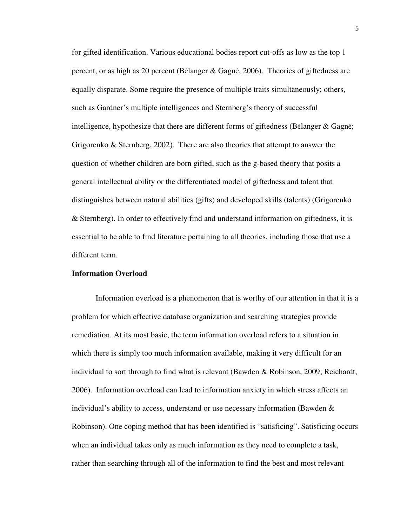for gifted identification. Various educational bodies report cut-offs as low as the top 1 percent, or as high as 20 percent (Bélanger & Gagné, 2006). Theories of giftedness are equally disparate. Some require the presence of multiple traits simultaneously; others, such as Gardner's multiple intelligences and Sternberg's theory of successful intelligence, hypothesize that there are different forms of giftedness (Bélanger & Gagné; Grigorenko & Sternberg, 2002). There are also theories that attempt to answer the question of whether children are born gifted, such as the g-based theory that posits a general intellectual ability or the differentiated model of giftedness and talent that distinguishes between natural abilities (gifts) and developed skills (talents) (Grigorenko & Sternberg). In order to effectively find and understand information on giftedness, it is essential to be able to find literature pertaining to all theories, including those that use a different term.

#### **Information Overload**

Information overload is a phenomenon that is worthy of our attention in that it is a problem for which effective database organization and searching strategies provide remediation. At its most basic, the term information overload refers to a situation in which there is simply too much information available, making it very difficult for an individual to sort through to find what is relevant (Bawden & Robinson, 2009; Reichardt, 2006). Information overload can lead to information anxiety in which stress affects an individual's ability to access, understand or use necessary information (Bawden  $\&$ Robinson). One coping method that has been identified is "satisficing". Satisficing occurs when an individual takes only as much information as they need to complete a task, rather than searching through all of the information to find the best and most relevant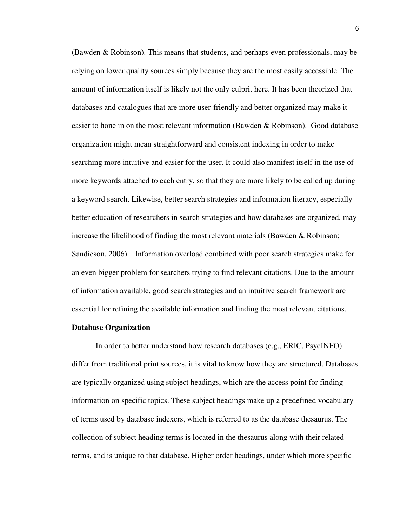(Bawden & Robinson). This means that students, and perhaps even professionals, may be relying on lower quality sources simply because they are the most easily accessible. The amount of information itself is likely not the only culprit here. It has been theorized that databases and catalogues that are more user-friendly and better organized may make it easier to hone in on the most relevant information (Bawden & Robinson). Good database organization might mean straightforward and consistent indexing in order to make searching more intuitive and easier for the user. It could also manifest itself in the use of more keywords attached to each entry, so that they are more likely to be called up during a keyword search. Likewise, better search strategies and information literacy, especially better education of researchers in search strategies and how databases are organized, may increase the likelihood of finding the most relevant materials (Bawden & Robinson; Sandieson, 2006). Information overload combined with poor search strategies make for an even bigger problem for searchers trying to find relevant citations. Due to the amount of information available, good search strategies and an intuitive search framework are essential for refining the available information and finding the most relevant citations.

#### **Database Organization**

In order to better understand how research databases (e.g., ERIC, PsycINFO) differ from traditional print sources, it is vital to know how they are structured. Databases are typically organized using subject headings, which are the access point for finding information on specific topics. These subject headings make up a predefined vocabulary of terms used by database indexers, which is referred to as the database thesaurus. The collection of subject heading terms is located in the thesaurus along with their related terms, and is unique to that database. Higher order headings, under which more specific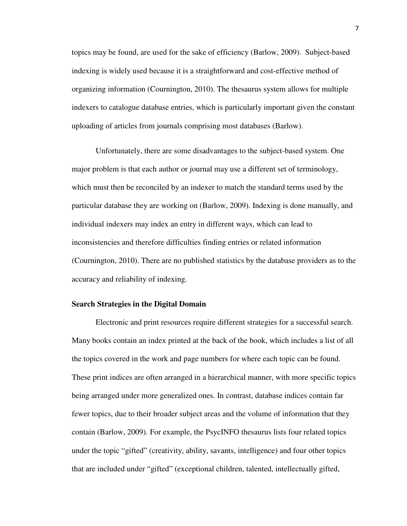topics may be found, are used for the sake of efficiency (Barlow, 2009). Subject-based indexing is widely used because it is a straightforward and cost-effective method of organizing information (Cournington, 2010). The thesaurus system allows for multiple indexers to catalogue database entries, which is particularly important given the constant uploading of articles from journals comprising most databases (Barlow).

Unfortunately, there are some disadvantages to the subject-based system. One major problem is that each author or journal may use a different set of terminology, which must then be reconciled by an indexer to match the standard terms used by the particular database they are working on (Barlow, 2009). Indexing is done manually, and individual indexers may index an entry in different ways, which can lead to inconsistencies and therefore difficulties finding entries or related information (Cournington, 2010). There are no published statistics by the database providers as to the accuracy and reliability of indexing.

#### **Search Strategies in the Digital Domain**

 Electronic and print resources require different strategies for a successful search. Many books contain an index printed at the back of the book, which includes a list of all the topics covered in the work and page numbers for where each topic can be found. These print indices are often arranged in a hierarchical manner, with more specific topics being arranged under more generalized ones. In contrast, database indices contain far fewer topics, due to their broader subject areas and the volume of information that they contain (Barlow, 2009). For example, the PsycINFO thesaurus lists four related topics under the topic "gifted" (creativity, ability, savants, intelligence) and four other topics that are included under "gifted" (exceptional children, talented, intellectually gifted,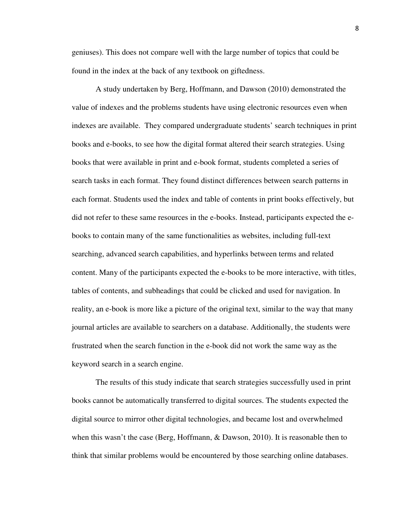geniuses). This does not compare well with the large number of topics that could be found in the index at the back of any textbook on giftedness.

 A study undertaken by Berg, Hoffmann, and Dawson (2010) demonstrated the value of indexes and the problems students have using electronic resources even when indexes are available. They compared undergraduate students' search techniques in print books and e-books, to see how the digital format altered their search strategies. Using books that were available in print and e-book format, students completed a series of search tasks in each format. They found distinct differences between search patterns in each format. Students used the index and table of contents in print books effectively, but did not refer to these same resources in the e-books. Instead, participants expected the ebooks to contain many of the same functionalities as websites, including full-text searching, advanced search capabilities, and hyperlinks between terms and related content. Many of the participants expected the e-books to be more interactive, with titles, tables of contents, and subheadings that could be clicked and used for navigation. In reality, an e-book is more like a picture of the original text, similar to the way that many journal articles are available to searchers on a database. Additionally, the students were frustrated when the search function in the e-book did not work the same way as the keyword search in a search engine.

The results of this study indicate that search strategies successfully used in print books cannot be automatically transferred to digital sources. The students expected the digital source to mirror other digital technologies, and became lost and overwhelmed when this wasn't the case (Berg, Hoffmann, & Dawson, 2010). It is reasonable then to think that similar problems would be encountered by those searching online databases.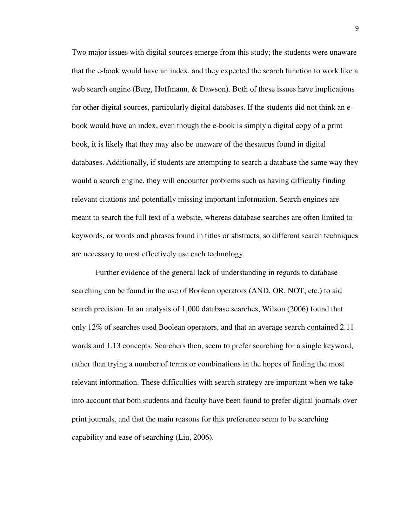Two major issues with digital sources emerge from this study; the students were unaware that the e-book would have an index, and they expected the search function to work like a web search engine (Berg, Hoffmann, & Dawson). Both of these issues have implications for other digital sources, particularly digital databases. If the students did not think an ebook would have an index, even though the e-book is simply a digital copy of a print book, it is likely that they may also be unaware of the thesaurus found in digital databases. Additionally, if students are attempting to search a database the same way they would a search engine, they will encounter problems such as having difficulty finding relevant citations and potentially missing important information. Search engines are meant to search the full text of a website, whereas database searches are often limited to keywords, or words and phrases found in titles or abstracts, so different search techniques are necessary to most effectively use each technology.

Further evidence of the general lack of understanding in regards to database searching can be found in the use of Boolean operators (AND, OR, NOT, etc.) to aid search precision. In an analysis of 1,000 database searches, Wilson (2006) found that only 12% of searches used Boolean operators, and that an average search contained 2.11 words and 1.13 concepts. Searchers then, seem to prefer searching for a single keyword, rather than trying a number of terms or combinations in the hopes of finding the most relevant information. These difficulties with search strategy are important when we take into account that both students and faculty have been found to prefer digital journals over print journals, and that the main reasons for this preference seem to be searching capability and ease of searching (Liu, 2006).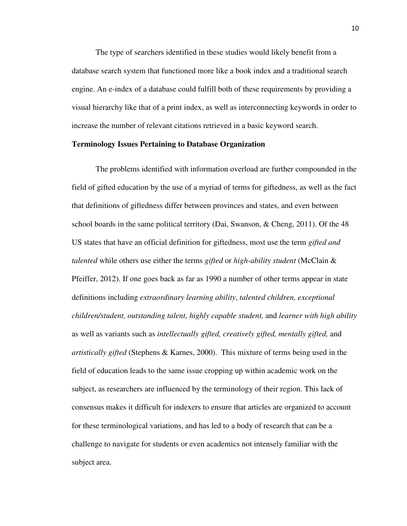The type of searchers identified in these studies would likely benefit from a database search system that functioned more like a book index and a traditional search engine. An e-index of a database could fulfill both of these requirements by providing a visual hierarchy like that of a print index, as well as interconnecting keywords in order to increase the number of relevant citations retrieved in a basic keyword search.

#### **Terminology Issues Pertaining to Database Organization**

The problems identified with information overload are further compounded in the field of gifted education by the use of a myriad of terms for giftedness, as well as the fact that definitions of giftedness differ between provinces and states, and even between school boards in the same political territory (Dai, Swanson, & Cheng, 2011). Of the 48 US states that have an official definition for giftedness, most use the term *gifted and talented* while others use either the terms *gifted* or *high-ability student* (McClain & Pfeiffer, 2012). If one goes back as far as 1990 a number of other terms appear in state definitions including *extraordinary learning ability*, *talented children, exceptional children/student, outstanding talent, highly capable student,* and *learner with high ability* as well as variants such as *intellectually gifted, creatively gifted, mentally gifted,* and *artistically gifted* (Stephens & Karnes, 2000).This mixture of terms being used in the field of education leads to the same issue cropping up within academic work on the subject, as researchers are influenced by the terminology of their region. This lack of consensus makes it difficult for indexers to ensure that articles are organized to account for these terminological variations, and has led to a body of research that can be a challenge to navigate for students or even academics not intensely familiar with the subject area.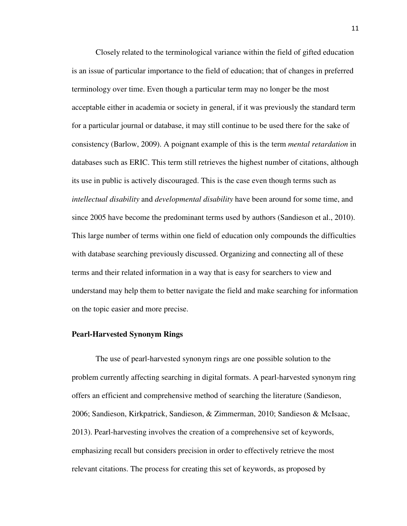Closely related to the terminological variance within the field of gifted education is an issue of particular importance to the field of education; that of changes in preferred terminology over time. Even though a particular term may no longer be the most acceptable either in academia or society in general, if it was previously the standard term for a particular journal or database, it may still continue to be used there for the sake of consistency (Barlow, 2009). A poignant example of this is the term *mental retardation* in databases such as ERIC. This term still retrieves the highest number of citations, although its use in public is actively discouraged. This is the case even though terms such as *intellectual disability* and *developmental disability* have been around for some time, and since 2005 have become the predominant terms used by authors (Sandieson et al., 2010). This large number of terms within one field of education only compounds the difficulties with database searching previously discussed. Organizing and connecting all of these terms and their related information in a way that is easy for searchers to view and understand may help them to better navigate the field and make searching for information on the topic easier and more precise.

#### **Pearl-Harvested Synonym Rings**

The use of pearl-harvested synonym rings are one possible solution to the problem currently affecting searching in digital formats. A pearl-harvested synonym ring offers an efficient and comprehensive method of searching the literature (Sandieson, 2006; Sandieson, Kirkpatrick, Sandieson, & Zimmerman, 2010; Sandieson & McIsaac, 2013). Pearl-harvesting involves the creation of a comprehensive set of keywords, emphasizing recall but considers precision in order to effectively retrieve the most relevant citations. The process for creating this set of keywords, as proposed by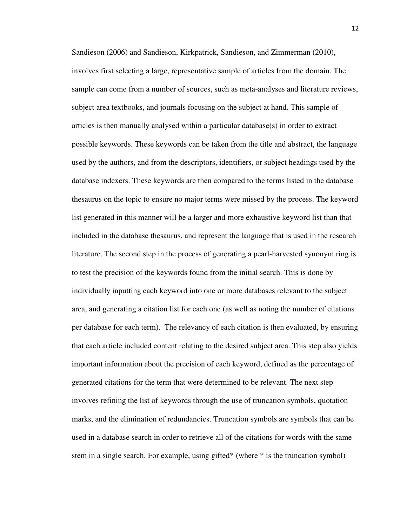Sandieson (2006) and Sandieson, Kirkpatrick, Sandieson, and Zimmerman (2010), involves first selecting a large, representative sample of articles from the domain. The sample can come from a number of sources, such as meta-analyses and literature reviews, subject area textbooks, and journals focusing on the subject at hand. This sample of articles is then manually analysed within a particular database(s) in order to extract possible keywords. These keywords can be taken from the title and abstract, the language used by the authors, and from the descriptors, identifiers, or subject headings used by the database indexers. These keywords are then compared to the terms listed in the database thesaurus on the topic to ensure no major terms were missed by the process. The keyword list generated in this manner will be a larger and more exhaustive keyword list than that included in the database thesaurus, and represent the language that is used in the research literature. The second step in the process of generating a pearl-harvested synonym ring is to test the precision of the keywords found from the initial search. This is done by individually inputting each keyword into one or more databases relevant to the subject area, and generating a citation list for each one (as well as noting the number of citations per database for each term). The relevancy of each citation is then evaluated, by ensuring that each article included content relating to the desired subject area. This step also yields important information about the precision of each keyword, defined as the percentage of generated citations for the term that were determined to be relevant. The next step involves refining the list of keywords through the use of truncation symbols, quotation marks, and the elimination of redundancies. Truncation symbols are symbols that can be used in a database search in order to retrieve all of the citations for words with the same stem in a single search. For example, using gifted\* (where \* is the truncation symbol)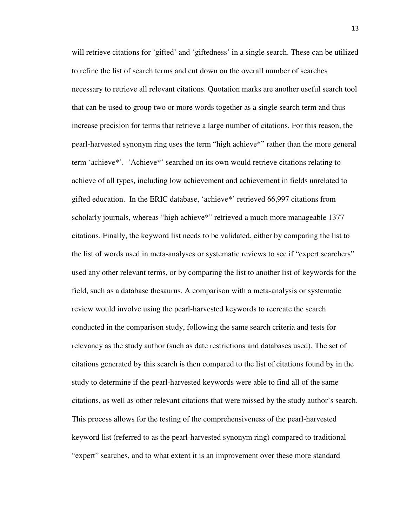will retrieve citations for 'gifted' and 'giftedness' in a single search. These can be utilized to refine the list of search terms and cut down on the overall number of searches necessary to retrieve all relevant citations. Quotation marks are another useful search tool that can be used to group two or more words together as a single search term and thus increase precision for terms that retrieve a large number of citations. For this reason, the pearl-harvested synonym ring uses the term "high achieve\*" rather than the more general term 'achieve\*'. 'Achieve\*' searched on its own would retrieve citations relating to achieve of all types, including low achievement and achievement in fields unrelated to gifted education. In the ERIC database, 'achieve\*' retrieved 66,997 citations from scholarly journals, whereas "high achieve\*" retrieved a much more manageable 1377 citations. Finally, the keyword list needs to be validated, either by comparing the list to the list of words used in meta-analyses or systematic reviews to see if "expert searchers" used any other relevant terms, or by comparing the list to another list of keywords for the field, such as a database thesaurus. A comparison with a meta-analysis or systematic review would involve using the pearl-harvested keywords to recreate the search conducted in the comparison study, following the same search criteria and tests for relevancy as the study author (such as date restrictions and databases used). The set of citations generated by this search is then compared to the list of citations found by in the study to determine if the pearl-harvested keywords were able to find all of the same citations, as well as other relevant citations that were missed by the study author's search. This process allows for the testing of the comprehensiveness of the pearl-harvested keyword list (referred to as the pearl-harvested synonym ring) compared to traditional "expert" searches, and to what extent it is an improvement over these more standard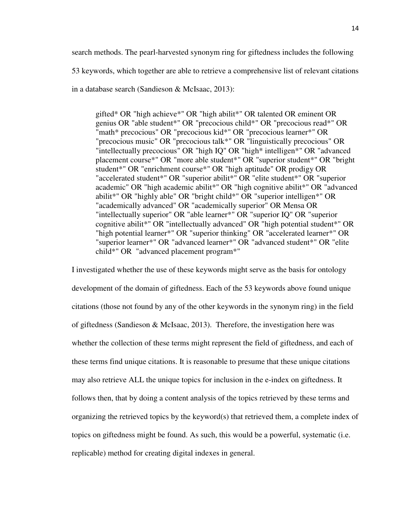search methods. The pearl-harvested synonym ring for giftedness includes the following

53 keywords, which together are able to retrieve a comprehensive list of relevant citations

in a database search (Sandieson & McIsaac, 2013):

gifted\* OR "high achieve\*" OR "high abilit\*" OR talented OR eminent OR genius OR "able student\*" OR "precocious child\*" OR "precocious read\*" OR "math\* precocious" OR "precocious kid\*" OR "precocious learner\*" OR "precocious music" OR "precocious talk\*" OR "linguistically precocious" OR "intellectually precocious" OR "high IQ" OR "high\* intelligen\*" OR "advanced placement course\*" OR "more able student\*" OR "superior student\*" OR "bright student\*" OR "enrichment course\*" OR "high aptitude" OR prodigy OR "accelerated student\*" OR "superior abilit\*" OR "elite student\*" OR "superior academic" OR "high academic abilit\*" OR "high cognitive abilit\*" OR "advanced abilit\*" OR "highly able" OR "bright child\*" OR "superior intelligen\*" OR "academically advanced" OR "academically superior" OR Mensa OR "intellectually superior" OR "able learner\*" OR "superior IQ" OR "superior cognitive abilit\*" OR "intellectually advanced" OR "high potential student\*" OR "high potential learner\*" OR "superior thinking" OR "accelerated learner\*" OR "superior learner\*" OR "advanced learner\*" OR "advanced student\*" OR "elite child\*" OR "advanced placement program\*"

I investigated whether the use of these keywords might serve as the basis for ontology development of the domain of giftedness. Each of the 53 keywords above found unique citations (those not found by any of the other keywords in the synonym ring) in the field of giftedness (Sandieson & McIsaac, 2013). Therefore, the investigation here was whether the collection of these terms might represent the field of giftedness, and each of these terms find unique citations. It is reasonable to presume that these unique citations may also retrieve ALL the unique topics for inclusion in the e-index on giftedness. It follows then, that by doing a content analysis of the topics retrieved by these terms and organizing the retrieved topics by the keyword(s) that retrieved them, a complete index of topics on giftedness might be found. As such, this would be a powerful, systematic (i.e. replicable) method for creating digital indexes in general.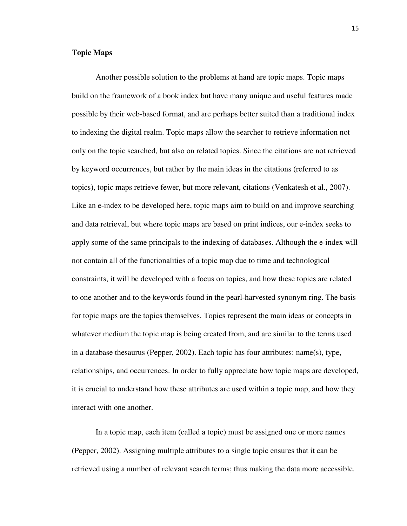#### **Topic Maps**

Another possible solution to the problems at hand are topic maps. Topic maps build on the framework of a book index but have many unique and useful features made possible by their web-based format, and are perhaps better suited than a traditional index to indexing the digital realm. Topic maps allow the searcher to retrieve information not only on the topic searched, but also on related topics. Since the citations are not retrieved by keyword occurrences, but rather by the main ideas in the citations (referred to as topics), topic maps retrieve fewer, but more relevant, citations (Venkatesh et al., 2007). Like an e-index to be developed here, topic maps aim to build on and improve searching and data retrieval, but where topic maps are based on print indices, our e-index seeks to apply some of the same principals to the indexing of databases. Although the e-index will not contain all of the functionalities of a topic map due to time and technological constraints, it will be developed with a focus on topics, and how these topics are related to one another and to the keywords found in the pearl-harvested synonym ring. The basis for topic maps are the topics themselves. Topics represent the main ideas or concepts in whatever medium the topic map is being created from, and are similar to the terms used in a database thesaurus (Pepper, 2002). Each topic has four attributes: name(s), type, relationships, and occurrences. In order to fully appreciate how topic maps are developed, it is crucial to understand how these attributes are used within a topic map, and how they interact with one another.

In a topic map, each item (called a topic) must be assigned one or more names (Pepper, 2002). Assigning multiple attributes to a single topic ensures that it can be retrieved using a number of relevant search terms; thus making the data more accessible.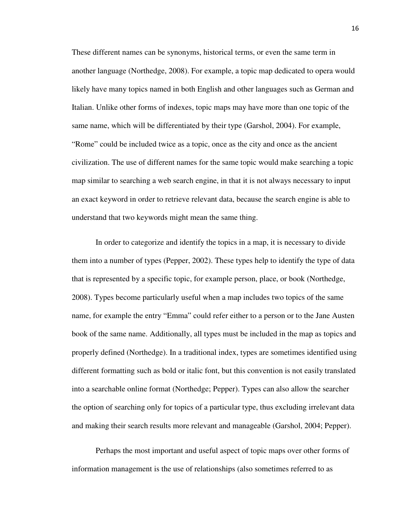These different names can be synonyms, historical terms, or even the same term in another language (Northedge, 2008). For example, a topic map dedicated to opera would likely have many topics named in both English and other languages such as German and Italian. Unlike other forms of indexes, topic maps may have more than one topic of the same name, which will be differentiated by their type (Garshol, 2004). For example, "Rome" could be included twice as a topic, once as the city and once as the ancient civilization. The use of different names for the same topic would make searching a topic map similar to searching a web search engine, in that it is not always necessary to input an exact keyword in order to retrieve relevant data, because the search engine is able to understand that two keywords might mean the same thing.

 In order to categorize and identify the topics in a map, it is necessary to divide them into a number of types (Pepper, 2002). These types help to identify the type of data that is represented by a specific topic, for example person, place, or book (Northedge, 2008). Types become particularly useful when a map includes two topics of the same name, for example the entry "Emma" could refer either to a person or to the Jane Austen book of the same name. Additionally, all types must be included in the map as topics and properly defined (Northedge). In a traditional index, types are sometimes identified using different formatting such as bold or italic font, but this convention is not easily translated into a searchable online format (Northedge; Pepper). Types can also allow the searcher the option of searching only for topics of a particular type, thus excluding irrelevant data and making their search results more relevant and manageable (Garshol, 2004; Pepper).

 Perhaps the most important and useful aspect of topic maps over other forms of information management is the use of relationships (also sometimes referred to as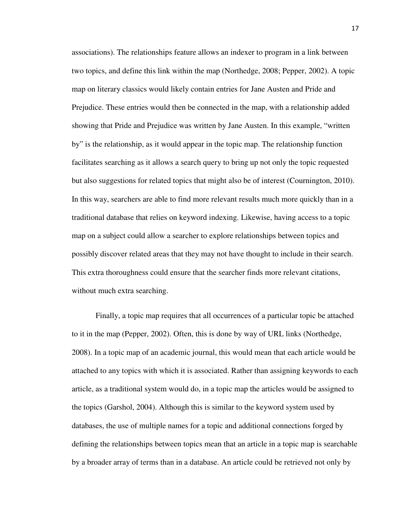associations). The relationships feature allows an indexer to program in a link between two topics, and define this link within the map (Northedge, 2008; Pepper, 2002). A topic map on literary classics would likely contain entries for Jane Austen and Pride and Prejudice. These entries would then be connected in the map, with a relationship added showing that Pride and Prejudice was written by Jane Austen. In this example, "written by" is the relationship, as it would appear in the topic map. The relationship function facilitates searching as it allows a search query to bring up not only the topic requested but also suggestions for related topics that might also be of interest (Cournington, 2010). In this way, searchers are able to find more relevant results much more quickly than in a traditional database that relies on keyword indexing. Likewise, having access to a topic map on a subject could allow a searcher to explore relationships between topics and possibly discover related areas that they may not have thought to include in their search. This extra thoroughness could ensure that the searcher finds more relevant citations, without much extra searching.

 Finally, a topic map requires that all occurrences of a particular topic be attached to it in the map (Pepper, 2002). Often, this is done by way of URL links (Northedge, 2008). In a topic map of an academic journal, this would mean that each article would be attached to any topics with which it is associated. Rather than assigning keywords to each article, as a traditional system would do, in a topic map the articles would be assigned to the topics (Garshol, 2004). Although this is similar to the keyword system used by databases, the use of multiple names for a topic and additional connections forged by defining the relationships between topics mean that an article in a topic map is searchable by a broader array of terms than in a database. An article could be retrieved not only by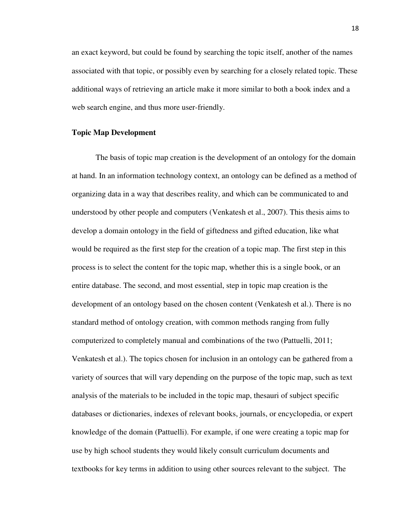an exact keyword, but could be found by searching the topic itself, another of the names associated with that topic, or possibly even by searching for a closely related topic. These additional ways of retrieving an article make it more similar to both a book index and a web search engine, and thus more user-friendly.

#### **Topic Map Development**

 The basis of topic map creation is the development of an ontology for the domain at hand. In an information technology context, an ontology can be defined as a method of organizing data in a way that describes reality, and which can be communicated to and understood by other people and computers (Venkatesh et al., 2007). This thesis aims to develop a domain ontology in the field of giftedness and gifted education, like what would be required as the first step for the creation of a topic map. The first step in this process is to select the content for the topic map, whether this is a single book, or an entire database. The second, and most essential, step in topic map creation is the development of an ontology based on the chosen content (Venkatesh et al.). There is no standard method of ontology creation, with common methods ranging from fully computerized to completely manual and combinations of the two (Pattuelli, 2011; Venkatesh et al.). The topics chosen for inclusion in an ontology can be gathered from a variety of sources that will vary depending on the purpose of the topic map, such as text analysis of the materials to be included in the topic map, thesauri of subject specific databases or dictionaries, indexes of relevant books, journals, or encyclopedia, or expert knowledge of the domain (Pattuelli). For example, if one were creating a topic map for use by high school students they would likely consult curriculum documents and textbooks for key terms in addition to using other sources relevant to the subject. The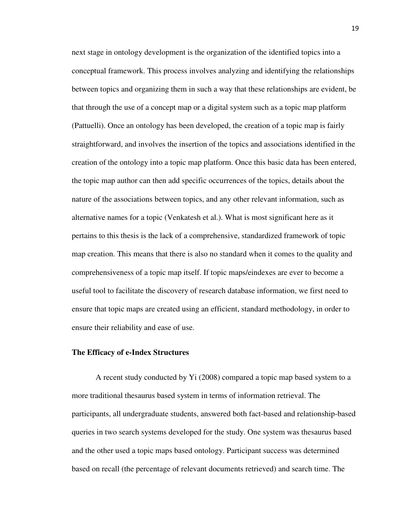next stage in ontology development is the organization of the identified topics into a conceptual framework. This process involves analyzing and identifying the relationships between topics and organizing them in such a way that these relationships are evident, be that through the use of a concept map or a digital system such as a topic map platform (Pattuelli). Once an ontology has been developed, the creation of a topic map is fairly straightforward, and involves the insertion of the topics and associations identified in the creation of the ontology into a topic map platform. Once this basic data has been entered, the topic map author can then add specific occurrences of the topics, details about the nature of the associations between topics, and any other relevant information, such as alternative names for a topic (Venkatesh et al.). What is most significant here as it pertains to this thesis is the lack of a comprehensive, standardized framework of topic map creation. This means that there is also no standard when it comes to the quality and comprehensiveness of a topic map itself. If topic maps/eindexes are ever to become a useful tool to facilitate the discovery of research database information, we first need to ensure that topic maps are created using an efficient, standard methodology, in order to ensure their reliability and ease of use.

#### **The Efficacy of e-Index Structures**

A recent study conducted by Yi (2008) compared a topic map based system to a more traditional thesaurus based system in terms of information retrieval. The participants, all undergraduate students, answered both fact-based and relationship-based queries in two search systems developed for the study. One system was thesaurus based and the other used a topic maps based ontology. Participant success was determined based on recall (the percentage of relevant documents retrieved) and search time. The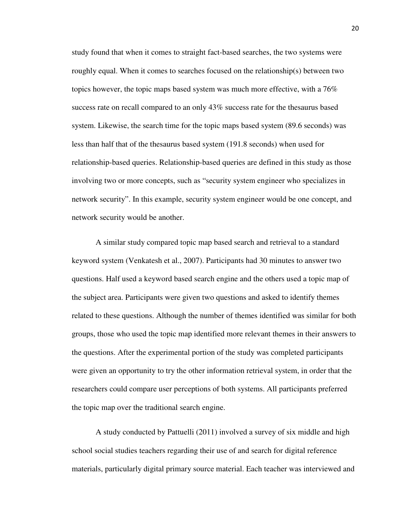study found that when it comes to straight fact-based searches, the two systems were roughly equal. When it comes to searches focused on the relationship(s) between two topics however, the topic maps based system was much more effective, with a 76% success rate on recall compared to an only 43% success rate for the thesaurus based system. Likewise, the search time for the topic maps based system (89.6 seconds) was less than half that of the thesaurus based system (191.8 seconds) when used for relationship-based queries. Relationship-based queries are defined in this study as those involving two or more concepts, such as "security system engineer who specializes in network security". In this example, security system engineer would be one concept, and network security would be another.

A similar study compared topic map based search and retrieval to a standard keyword system (Venkatesh et al., 2007). Participants had 30 minutes to answer two questions. Half used a keyword based search engine and the others used a topic map of the subject area. Participants were given two questions and asked to identify themes related to these questions. Although the number of themes identified was similar for both groups, those who used the topic map identified more relevant themes in their answers to the questions. After the experimental portion of the study was completed participants were given an opportunity to try the other information retrieval system, in order that the researchers could compare user perceptions of both systems. All participants preferred the topic map over the traditional search engine.

A study conducted by Pattuelli (2011) involved a survey of six middle and high school social studies teachers regarding their use of and search for digital reference materials, particularly digital primary source material. Each teacher was interviewed and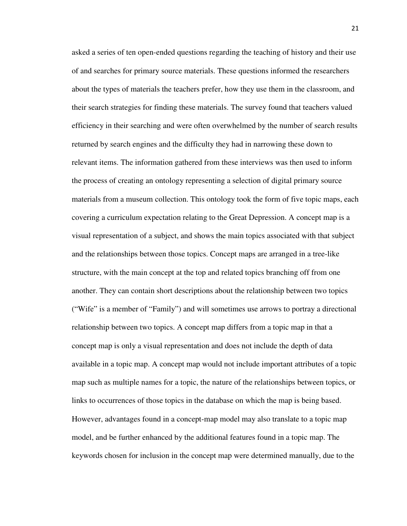asked a series of ten open-ended questions regarding the teaching of history and their use of and searches for primary source materials. These questions informed the researchers about the types of materials the teachers prefer, how they use them in the classroom, and their search strategies for finding these materials. The survey found that teachers valued efficiency in their searching and were often overwhelmed by the number of search results returned by search engines and the difficulty they had in narrowing these down to relevant items. The information gathered from these interviews was then used to inform the process of creating an ontology representing a selection of digital primary source materials from a museum collection. This ontology took the form of five topic maps, each covering a curriculum expectation relating to the Great Depression. A concept map is a visual representation of a subject, and shows the main topics associated with that subject and the relationships between those topics. Concept maps are arranged in a tree-like structure, with the main concept at the top and related topics branching off from one another. They can contain short descriptions about the relationship between two topics ("Wife" is a member of "Family") and will sometimes use arrows to portray a directional relationship between two topics. A concept map differs from a topic map in that a concept map is only a visual representation and does not include the depth of data available in a topic map. A concept map would not include important attributes of a topic map such as multiple names for a topic, the nature of the relationships between topics, or links to occurrences of those topics in the database on which the map is being based. However, advantages found in a concept-map model may also translate to a topic map model, and be further enhanced by the additional features found in a topic map. The keywords chosen for inclusion in the concept map were determined manually, due to the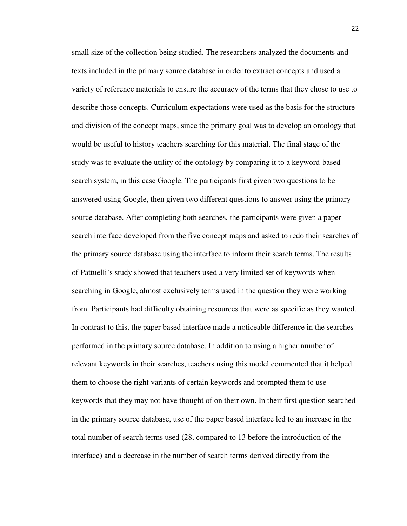small size of the collection being studied. The researchers analyzed the documents and texts included in the primary source database in order to extract concepts and used a variety of reference materials to ensure the accuracy of the terms that they chose to use to describe those concepts. Curriculum expectations were used as the basis for the structure and division of the concept maps, since the primary goal was to develop an ontology that would be useful to history teachers searching for this material. The final stage of the study was to evaluate the utility of the ontology by comparing it to a keyword-based search system, in this case Google. The participants first given two questions to be answered using Google, then given two different questions to answer using the primary source database. After completing both searches, the participants were given a paper search interface developed from the five concept maps and asked to redo their searches of the primary source database using the interface to inform their search terms. The results of Pattuelli's study showed that teachers used a very limited set of keywords when searching in Google, almost exclusively terms used in the question they were working from. Participants had difficulty obtaining resources that were as specific as they wanted. In contrast to this, the paper based interface made a noticeable difference in the searches performed in the primary source database. In addition to using a higher number of relevant keywords in their searches, teachers using this model commented that it helped them to choose the right variants of certain keywords and prompted them to use keywords that they may not have thought of on their own. In their first question searched in the primary source database, use of the paper based interface led to an increase in the total number of search terms used (28, compared to 13 before the introduction of the interface) and a decrease in the number of search terms derived directly from the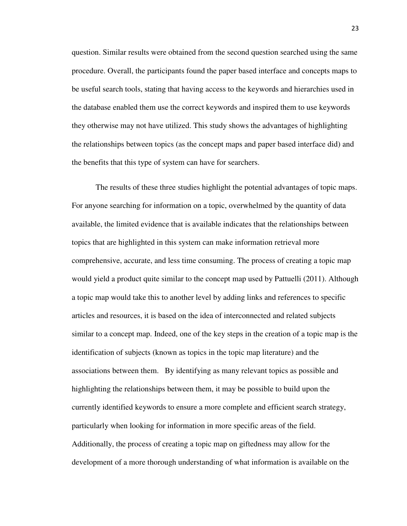question. Similar results were obtained from the second question searched using the same procedure. Overall, the participants found the paper based interface and concepts maps to be useful search tools, stating that having access to the keywords and hierarchies used in the database enabled them use the correct keywords and inspired them to use keywords they otherwise may not have utilized. This study shows the advantages of highlighting the relationships between topics (as the concept maps and paper based interface did) and the benefits that this type of system can have for searchers.

The results of these three studies highlight the potential advantages of topic maps. For anyone searching for information on a topic, overwhelmed by the quantity of data available, the limited evidence that is available indicates that the relationships between topics that are highlighted in this system can make information retrieval more comprehensive, accurate, and less time consuming. The process of creating a topic map would yield a product quite similar to the concept map used by Pattuelli (2011). Although a topic map would take this to another level by adding links and references to specific articles and resources, it is based on the idea of interconnected and related subjects similar to a concept map. Indeed, one of the key steps in the creation of a topic map is the identification of subjects (known as topics in the topic map literature) and the associations between them. By identifying as many relevant topics as possible and highlighting the relationships between them, it may be possible to build upon the currently identified keywords to ensure a more complete and efficient search strategy, particularly when looking for information in more specific areas of the field. Additionally, the process of creating a topic map on giftedness may allow for the development of a more thorough understanding of what information is available on the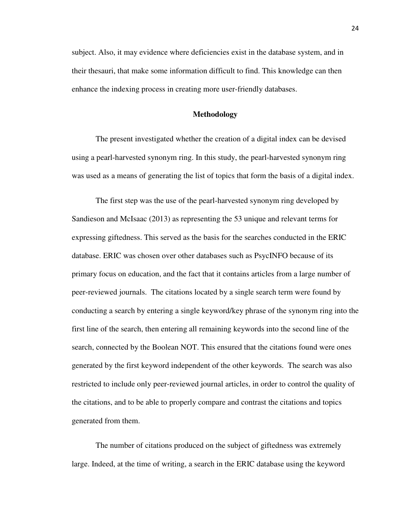subject. Also, it may evidence where deficiencies exist in the database system, and in their thesauri, that make some information difficult to find. This knowledge can then enhance the indexing process in creating more user-friendly databases.

#### **Methodology**

 The present investigated whether the creation of a digital index can be devised using a pearl-harvested synonym ring. In this study, the pearl-harvested synonym ring was used as a means of generating the list of topics that form the basis of a digital index.

 The first step was the use of the pearl-harvested synonym ring developed by Sandieson and McIsaac (2013) as representing the 53 unique and relevant terms for expressing giftedness. This served as the basis for the searches conducted in the ERIC database. ERIC was chosen over other databases such as PsycINFO because of its primary focus on education, and the fact that it contains articles from a large number of peer-reviewed journals. The citations located by a single search term were found by conducting a search by entering a single keyword/key phrase of the synonym ring into the first line of the search, then entering all remaining keywords into the second line of the search, connected by the Boolean NOT. This ensured that the citations found were ones generated by the first keyword independent of the other keywords. The search was also restricted to include only peer-reviewed journal articles, in order to control the quality of the citations, and to be able to properly compare and contrast the citations and topics generated from them.

The number of citations produced on the subject of giftedness was extremely large. Indeed, at the time of writing, a search in the ERIC database using the keyword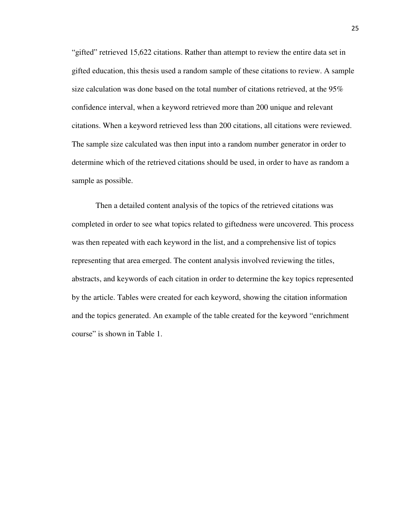"gifted" retrieved 15,622 citations. Rather than attempt to review the entire data set in gifted education, this thesis used a random sample of these citations to review. A sample size calculation was done based on the total number of citations retrieved, at the 95% confidence interval, when a keyword retrieved more than 200 unique and relevant citations. When a keyword retrieved less than 200 citations, all citations were reviewed. The sample size calculated was then input into a random number generator in order to determine which of the retrieved citations should be used, in order to have as random a sample as possible.

Then a detailed content analysis of the topics of the retrieved citations was completed in order to see what topics related to giftedness were uncovered. This process was then repeated with each keyword in the list, and a comprehensive list of topics representing that area emerged. The content analysis involved reviewing the titles, abstracts, and keywords of each citation in order to determine the key topics represented by the article. Tables were created for each keyword, showing the citation information and the topics generated. An example of the table created for the keyword "enrichment course" is shown in Table 1.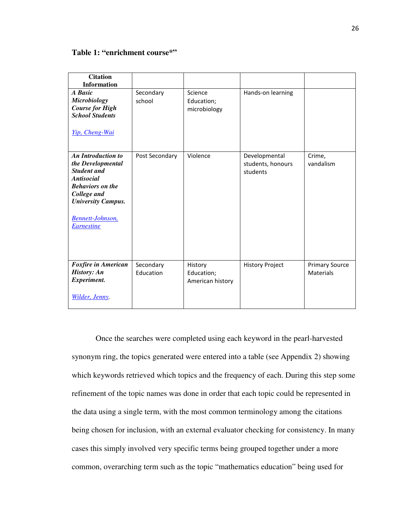#### **Table 1: "enrichment course\*"**

| <b>Citation</b>                               |                |                  |                        |                       |
|-----------------------------------------------|----------------|------------------|------------------------|-----------------------|
|                                               |                |                  |                        |                       |
| <b>Information</b>                            |                |                  |                        |                       |
| A Basic                                       | Secondary      | Science          | Hands-on learning      |                       |
| <b>Microbiology</b>                           | school         | Education;       |                        |                       |
| <b>Course for High</b>                        |                | microbiology     |                        |                       |
| <b>School Students</b>                        |                |                  |                        |                       |
|                                               |                |                  |                        |                       |
| Yip, Cheng-Wai                                |                |                  |                        |                       |
| <b>An Introduction to</b>                     | Post Secondary | Violence         | Developmental          | Crime,                |
| the Developmental                             |                |                  | students, honours      | vandalism             |
| <b>Student and</b>                            |                |                  | students               |                       |
| <b>Antisocial</b>                             |                |                  |                        |                       |
| <b>Behaviors</b> on the                       |                |                  |                        |                       |
|                                               |                |                  |                        |                       |
| College and                                   |                |                  |                        |                       |
| <b>University Campus.</b>                     |                |                  |                        |                       |
|                                               |                |                  |                        |                       |
| <b>Bennett-Johnson</b> ,<br><b>Earnestine</b> |                |                  |                        |                       |
|                                               |                |                  |                        |                       |
|                                               |                |                  |                        |                       |
|                                               |                |                  |                        |                       |
| <b>Foxfire in American</b>                    | Secondary      | History          | <b>History Project</b> | <b>Primary Source</b> |
| <b>History: An</b>                            | Education      | Education;       |                        | Materials             |
| Experiment.                                   |                | American history |                        |                       |
|                                               |                |                  |                        |                       |
| Wilder, Jenny.                                |                |                  |                        |                       |

Once the searches were completed using each keyword in the pearl-harvested synonym ring, the topics generated were entered into a table (see Appendix 2) showing which keywords retrieved which topics and the frequency of each. During this step some refinement of the topic names was done in order that each topic could be represented in the data using a single term, with the most common terminology among the citations being chosen for inclusion, with an external evaluator checking for consistency. In many cases this simply involved very specific terms being grouped together under a more common, overarching term such as the topic "mathematics education" being used for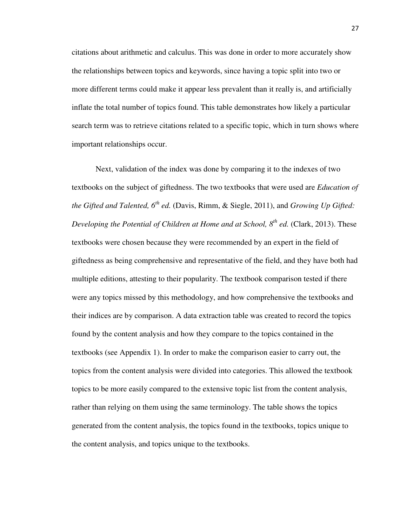citations about arithmetic and calculus. This was done in order to more accurately show the relationships between topics and keywords, since having a topic split into two or more different terms could make it appear less prevalent than it really is, and artificially inflate the total number of topics found. This table demonstrates how likely a particular search term was to retrieve citations related to a specific topic, which in turn shows where important relationships occur.

Next, validation of the index was done by comparing it to the indexes of two textbooks on the subject of giftedness. The two textbooks that were used are *Education of the Gifted and Talented, 6th ed.* (Davis, Rimm, & Siegle, 2011), and *Growing Up Gifted: Developing the Potential of Children at Home and at School, 8th ed.* (Clark, 2013). These textbooks were chosen because they were recommended by an expert in the field of giftedness as being comprehensive and representative of the field, and they have both had multiple editions, attesting to their popularity. The textbook comparison tested if there were any topics missed by this methodology, and how comprehensive the textbooks and their indices are by comparison. A data extraction table was created to record the topics found by the content analysis and how they compare to the topics contained in the textbooks (see Appendix 1). In order to make the comparison easier to carry out, the topics from the content analysis were divided into categories. This allowed the textbook topics to be more easily compared to the extensive topic list from the content analysis, rather than relying on them using the same terminology. The table shows the topics generated from the content analysis, the topics found in the textbooks, topics unique to the content analysis, and topics unique to the textbooks.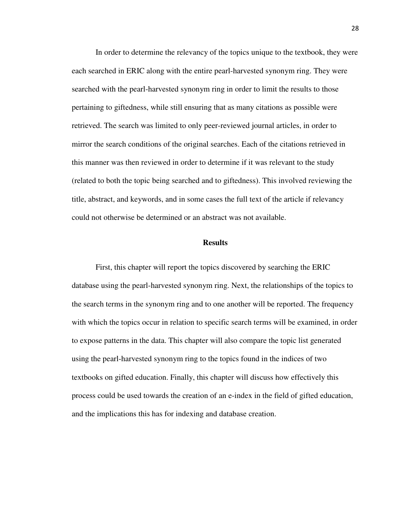In order to determine the relevancy of the topics unique to the textbook, they were each searched in ERIC along with the entire pearl-harvested synonym ring. They were searched with the pearl-harvested synonym ring in order to limit the results to those pertaining to giftedness, while still ensuring that as many citations as possible were retrieved. The search was limited to only peer-reviewed journal articles, in order to mirror the search conditions of the original searches. Each of the citations retrieved in this manner was then reviewed in order to determine if it was relevant to the study (related to both the topic being searched and to giftedness). This involved reviewing the title, abstract, and keywords, and in some cases the full text of the article if relevancy could not otherwise be determined or an abstract was not available.

#### **Results**

First, this chapter will report the topics discovered by searching the ERIC database using the pearl-harvested synonym ring. Next, the relationships of the topics to the search terms in the synonym ring and to one another will be reported. The frequency with which the topics occur in relation to specific search terms will be examined, in order to expose patterns in the data. This chapter will also compare the topic list generated using the pearl-harvested synonym ring to the topics found in the indices of two textbooks on gifted education. Finally, this chapter will discuss how effectively this process could be used towards the creation of an e-index in the field of gifted education, and the implications this has for indexing and database creation.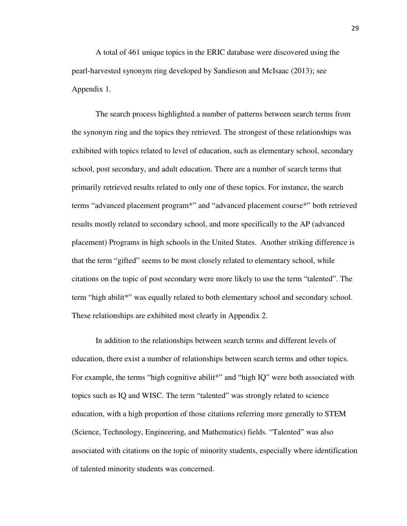A total of 461 unique topics in the ERIC database were discovered using the pearl-harvested synonym ring developed by Sandieson and McIsaac (2013); see Appendix 1.

The search process highlighted a number of patterns between search terms from the synonym ring and the topics they retrieved. The strongest of these relationships was exhibited with topics related to level of education, such as elementary school, secondary school, post secondary, and adult education. There are a number of search terms that primarily retrieved results related to only one of these topics. For instance, the search terms "advanced placement program\*" and "advanced placement course\*" both retrieved results mostly related to secondary school, and more specifically to the AP (advanced placement) Programs in high schools in the United States. Another striking difference is that the term "gifted" seems to be most closely related to elementary school, while citations on the topic of post secondary were more likely to use the term "talented". The term "high abilit\*" was equally related to both elementary school and secondary school. These relationships are exhibited most clearly in Appendix 2.

In addition to the relationships between search terms and different levels of education, there exist a number of relationships between search terms and other topics. For example, the terms "high cognitive abilit<sup>\*</sup>" and "high IQ" were both associated with topics such as IQ and WISC. The term "talented" was strongly related to science education, with a high proportion of those citations referring more generally to STEM (Science, Technology, Engineering, and Mathematics) fields. "Talented" was also associated with citations on the topic of minority students, especially where identification of talented minority students was concerned.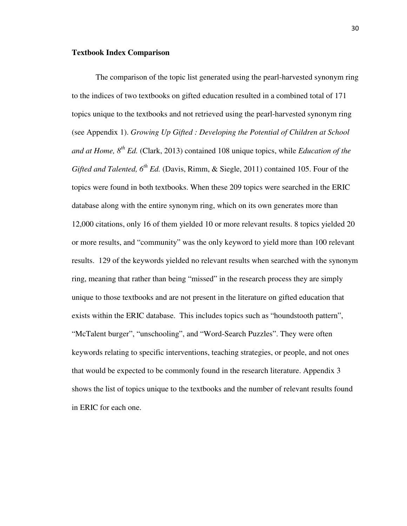#### **Textbook Index Comparison**

The comparison of the topic list generated using the pearl-harvested synonym ring to the indices of two textbooks on gifted education resulted in a combined total of 171 topics unique to the textbooks and not retrieved using the pearl-harvested synonym ring (see Appendix 1). *Growing Up Gifted : Developing the Potential of Children at School and at Home, 8th Ed.* (Clark, 2013) contained 108 unique topics, while *Education of the Gifted and Talented, 6th Ed.* (Davis, Rimm, & Siegle, 2011) contained 105. Four of the topics were found in both textbooks. When these 209 topics were searched in the ERIC database along with the entire synonym ring, which on its own generates more than 12,000 citations, only 16 of them yielded 10 or more relevant results. 8 topics yielded 20 or more results, and "community" was the only keyword to yield more than 100 relevant results. 129 of the keywords yielded no relevant results when searched with the synonym ring, meaning that rather than being "missed" in the research process they are simply unique to those textbooks and are not present in the literature on gifted education that exists within the ERIC database. This includes topics such as "houndstooth pattern", "McTalent burger", "unschooling", and "Word-Search Puzzles". They were often keywords relating to specific interventions, teaching strategies, or people, and not ones that would be expected to be commonly found in the research literature. Appendix 3 shows the list of topics unique to the textbooks and the number of relevant results found in ERIC for each one.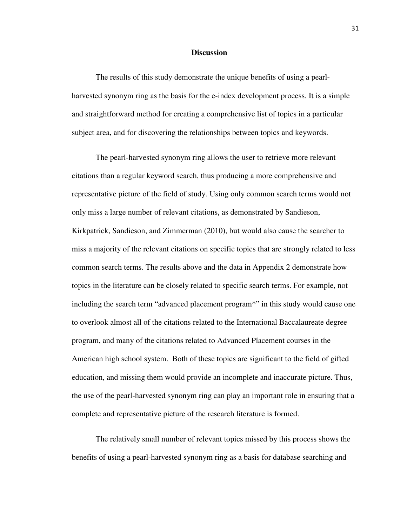#### **Discussion**

The results of this study demonstrate the unique benefits of using a pearlharvested synonym ring as the basis for the e-index development process. It is a simple and straightforward method for creating a comprehensive list of topics in a particular subject area, and for discovering the relationships between topics and keywords.

The pearl-harvested synonym ring allows the user to retrieve more relevant citations than a regular keyword search, thus producing a more comprehensive and representative picture of the field of study. Using only common search terms would not only miss a large number of relevant citations, as demonstrated by Sandieson, Kirkpatrick, Sandieson, and Zimmerman (2010), but would also cause the searcher to miss a majority of the relevant citations on specific topics that are strongly related to less common search terms. The results above and the data in Appendix 2 demonstrate how topics in the literature can be closely related to specific search terms. For example, not including the search term "advanced placement program\*" in this study would cause one to overlook almost all of the citations related to the International Baccalaureate degree program, and many of the citations related to Advanced Placement courses in the American high school system. Both of these topics are significant to the field of gifted education, and missing them would provide an incomplete and inaccurate picture. Thus, the use of the pearl-harvested synonym ring can play an important role in ensuring that a complete and representative picture of the research literature is formed.

The relatively small number of relevant topics missed by this process shows the benefits of using a pearl-harvested synonym ring as a basis for database searching and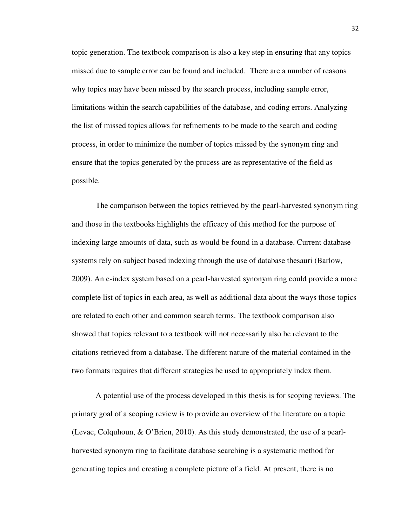topic generation. The textbook comparison is also a key step in ensuring that any topics missed due to sample error can be found and included. There are a number of reasons why topics may have been missed by the search process, including sample error, limitations within the search capabilities of the database, and coding errors. Analyzing the list of missed topics allows for refinements to be made to the search and coding process, in order to minimize the number of topics missed by the synonym ring and ensure that the topics generated by the process are as representative of the field as possible.

The comparison between the topics retrieved by the pearl-harvested synonym ring and those in the textbooks highlights the efficacy of this method for the purpose of indexing large amounts of data, such as would be found in a database. Current database systems rely on subject based indexing through the use of database thesauri (Barlow, 2009). An e-index system based on a pearl-harvested synonym ring could provide a more complete list of topics in each area, as well as additional data about the ways those topics are related to each other and common search terms. The textbook comparison also showed that topics relevant to a textbook will not necessarily also be relevant to the citations retrieved from a database. The different nature of the material contained in the two formats requires that different strategies be used to appropriately index them.

A potential use of the process developed in this thesis is for scoping reviews. The primary goal of a scoping review is to provide an overview of the literature on a topic (Levac, Colquhoun, & O'Brien, 2010). As this study demonstrated, the use of a pearlharvested synonym ring to facilitate database searching is a systematic method for generating topics and creating a complete picture of a field. At present, there is no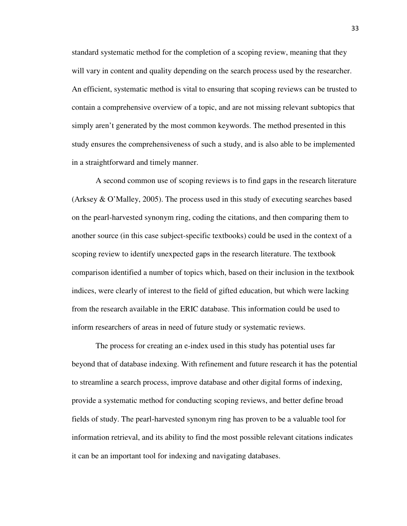standard systematic method for the completion of a scoping review, meaning that they will vary in content and quality depending on the search process used by the researcher. An efficient, systematic method is vital to ensuring that scoping reviews can be trusted to contain a comprehensive overview of a topic, and are not missing relevant subtopics that simply aren't generated by the most common keywords. The method presented in this study ensures the comprehensiveness of such a study, and is also able to be implemented in a straightforward and timely manner.

 A second common use of scoping reviews is to find gaps in the research literature (Arksey & O'Malley, 2005). The process used in this study of executing searches based on the pearl-harvested synonym ring, coding the citations, and then comparing them to another source (in this case subject-specific textbooks) could be used in the context of a scoping review to identify unexpected gaps in the research literature. The textbook comparison identified a number of topics which, based on their inclusion in the textbook indices, were clearly of interest to the field of gifted education, but which were lacking from the research available in the ERIC database. This information could be used to inform researchers of areas in need of future study or systematic reviews.

 The process for creating an e-index used in this study has potential uses far beyond that of database indexing. With refinement and future research it has the potential to streamline a search process, improve database and other digital forms of indexing, provide a systematic method for conducting scoping reviews, and better define broad fields of study. The pearl-harvested synonym ring has proven to be a valuable tool for information retrieval, and its ability to find the most possible relevant citations indicates it can be an important tool for indexing and navigating databases.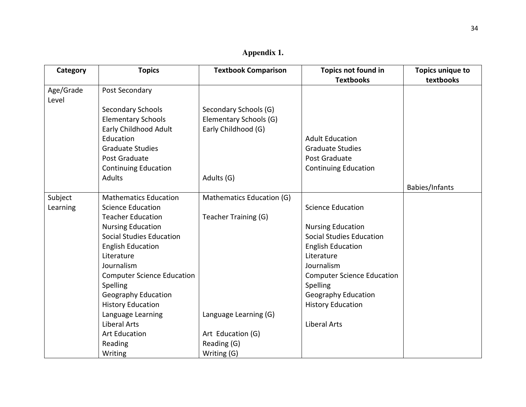| Category           | <b>Topics</b>                     | <b>Textbook Comparison</b> | Topics not found in               | <b>Topics unique to</b> |
|--------------------|-----------------------------------|----------------------------|-----------------------------------|-------------------------|
|                    |                                   |                            | <b>Textbooks</b>                  | textbooks               |
| Age/Grade<br>Level | Post Secondary                    |                            |                                   |                         |
|                    | <b>Secondary Schools</b>          | Secondary Schools (G)      |                                   |                         |
|                    | <b>Elementary Schools</b>         | Elementary Schools (G)     |                                   |                         |
|                    | Early Childhood Adult             | Early Childhood (G)        |                                   |                         |
|                    | Education                         |                            | <b>Adult Education</b>            |                         |
|                    | <b>Graduate Studies</b>           |                            | <b>Graduate Studies</b>           |                         |
|                    | Post Graduate                     |                            | Post Graduate                     |                         |
|                    | <b>Continuing Education</b>       |                            | <b>Continuing Education</b>       |                         |
|                    | <b>Adults</b>                     | Adults (G)                 |                                   |                         |
|                    |                                   |                            |                                   | Babies/Infants          |
| Subject            | <b>Mathematics Education</b>      | Mathematics Education (G)  |                                   |                         |
| Learning           | <b>Science Education</b>          |                            | <b>Science Education</b>          |                         |
|                    | <b>Teacher Education</b>          | Teacher Training (G)       |                                   |                         |
|                    | <b>Nursing Education</b>          |                            | <b>Nursing Education</b>          |                         |
|                    | <b>Social Studies Education</b>   |                            | <b>Social Studies Education</b>   |                         |
|                    | <b>English Education</b>          |                            | <b>English Education</b>          |                         |
|                    | Literature                        |                            | Literature                        |                         |
|                    | Journalism                        |                            | Journalism                        |                         |
|                    | <b>Computer Science Education</b> |                            | <b>Computer Science Education</b> |                         |
|                    | Spelling                          |                            | Spelling                          |                         |
|                    | <b>Geography Education</b>        |                            | <b>Geography Education</b>        |                         |
|                    | <b>History Education</b>          |                            | <b>History Education</b>          |                         |
|                    | Language Learning                 | Language Learning (G)      |                                   |                         |
|                    | <b>Liberal Arts</b>               |                            | <b>Liberal Arts</b>               |                         |
|                    | <b>Art Education</b>              | Art Education (G)          |                                   |                         |
|                    | Reading                           | Reading (G)                |                                   |                         |
|                    | Writing                           | Writing (G)                |                                   |                         |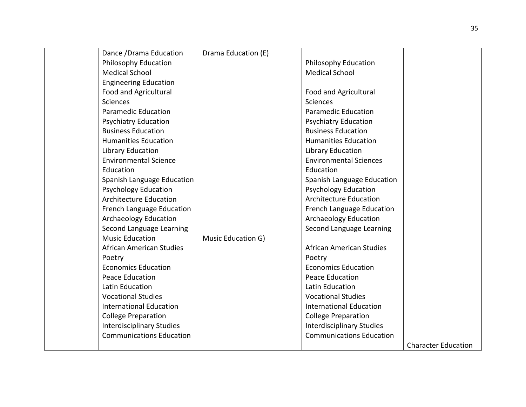| Dance / Drama Education          | Drama Education (E) |                                  |                            |
|----------------------------------|---------------------|----------------------------------|----------------------------|
| <b>Philosophy Education</b>      |                     | Philosophy Education             |                            |
| <b>Medical School</b>            |                     | <b>Medical School</b>            |                            |
| <b>Engineering Education</b>     |                     |                                  |                            |
| <b>Food and Agricultural</b>     |                     | Food and Agricultural            |                            |
| <b>Sciences</b>                  |                     | Sciences                         |                            |
| <b>Paramedic Education</b>       |                     | <b>Paramedic Education</b>       |                            |
| <b>Psychiatry Education</b>      |                     | <b>Psychiatry Education</b>      |                            |
| <b>Business Education</b>        |                     | <b>Business Education</b>        |                            |
| <b>Humanities Education</b>      |                     | <b>Humanities Education</b>      |                            |
| Library Education                |                     | Library Education                |                            |
| <b>Environmental Science</b>     |                     | <b>Environmental Sciences</b>    |                            |
| Education                        |                     | Education                        |                            |
| Spanish Language Education       |                     | Spanish Language Education       |                            |
| <b>Psychology Education</b>      |                     | <b>Psychology Education</b>      |                            |
| <b>Architecture Education</b>    |                     | <b>Architecture Education</b>    |                            |
| French Language Education        |                     | French Language Education        |                            |
| <b>Archaeology Education</b>     |                     | <b>Archaeology Education</b>     |                            |
| Second Language Learning         |                     | Second Language Learning         |                            |
| <b>Music Education</b>           | Music Education G)  |                                  |                            |
| <b>African American Studies</b>  |                     | African American Studies         |                            |
| Poetry                           |                     | Poetry                           |                            |
| <b>Economics Education</b>       |                     | <b>Economics Education</b>       |                            |
| <b>Peace Education</b>           |                     | Peace Education                  |                            |
| Latin Education                  |                     | Latin Education                  |                            |
| <b>Vocational Studies</b>        |                     | <b>Vocational Studies</b>        |                            |
| <b>International Education</b>   |                     | <b>International Education</b>   |                            |
| <b>College Preparation</b>       |                     | <b>College Preparation</b>       |                            |
| <b>Interdisciplinary Studies</b> |                     | <b>Interdisciplinary Studies</b> |                            |
| <b>Communications Education</b>  |                     | <b>Communications Education</b>  |                            |
|                                  |                     |                                  | <b>Character Education</b> |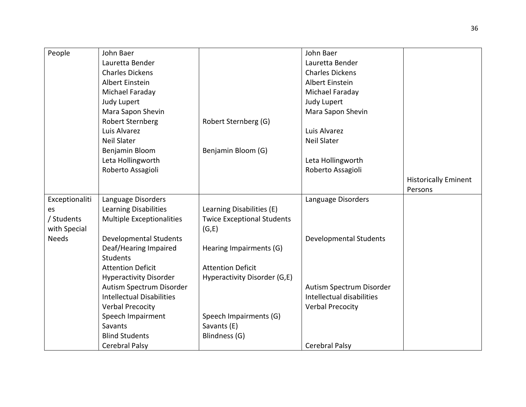| People         | John Baer                        |                                   | John Baer                     |                             |
|----------------|----------------------------------|-----------------------------------|-------------------------------|-----------------------------|
|                | Lauretta Bender                  |                                   | Lauretta Bender               |                             |
|                | <b>Charles Dickens</b>           |                                   | <b>Charles Dickens</b>        |                             |
|                | Albert Einstein                  |                                   | Albert Einstein               |                             |
|                | Michael Faraday                  |                                   | Michael Faraday               |                             |
|                | Judy Lupert                      |                                   | Judy Lupert                   |                             |
|                | Mara Sapon Shevin                |                                   | Mara Sapon Shevin             |                             |
|                | <b>Robert Sternberg</b>          | Robert Sternberg (G)              |                               |                             |
|                | Luis Alvarez                     |                                   | Luis Alvarez                  |                             |
|                | <b>Neil Slater</b>               |                                   | <b>Neil Slater</b>            |                             |
|                | Benjamin Bloom                   | Benjamin Bloom (G)                |                               |                             |
|                | Leta Hollingworth                |                                   | Leta Hollingworth             |                             |
|                | Roberto Assagioli                |                                   | Roberto Assagioli             |                             |
|                |                                  |                                   |                               | <b>Historically Eminent</b> |
|                |                                  |                                   |                               | Persons                     |
| Exceptionaliti | Language Disorders               |                                   | Language Disorders            |                             |
| es             | Learning Disabilities            | Learning Disabilities (E)         |                               |                             |
| / Students     | <b>Multiple Exceptionalities</b> | <b>Twice Exceptional Students</b> |                               |                             |
| with Special   |                                  | (G,E)                             |                               |                             |
| <b>Needs</b>   | <b>Developmental Students</b>    |                                   | <b>Developmental Students</b> |                             |
|                | Deaf/Hearing Impaired            | Hearing Impairments (G)           |                               |                             |
|                | <b>Students</b>                  |                                   |                               |                             |
|                | <b>Attention Deficit</b>         | <b>Attention Deficit</b>          |                               |                             |
|                | <b>Hyperactivity Disorder</b>    | Hyperactivity Disorder (G,E)      |                               |                             |
|                | Autism Spectrum Disorder         |                                   | Autism Spectrum Disorder      |                             |
|                | <b>Intellectual Disabilities</b> |                                   | Intellectual disabilities     |                             |
|                | <b>Verbal Precocity</b>          |                                   | <b>Verbal Precocity</b>       |                             |
|                | Speech Impairment                | Speech Impairments (G)            |                               |                             |
|                | Savants                          | Savants (E)                       |                               |                             |
|                | <b>Blind Students</b>            | Blindness (G)                     |                               |                             |
|                | Cerebral Palsy                   |                                   | <b>Cerebral Palsy</b>         |                             |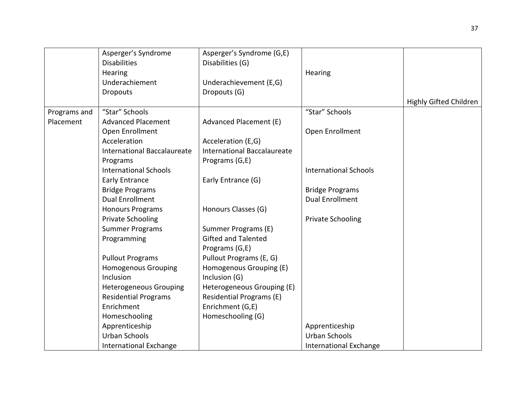|              | Asperger's Syndrome                | Asperger's Syndrome (G,E)   |                              |                               |
|--------------|------------------------------------|-----------------------------|------------------------------|-------------------------------|
|              | <b>Disabilities</b>                | Disabilities (G)            |                              |                               |
|              | Hearing                            |                             | Hearing                      |                               |
|              | Underachiement                     | Underachievement (E,G)      |                              |                               |
|              | <b>Dropouts</b>                    | Dropouts (G)                |                              |                               |
|              |                                    |                             |                              | <b>Highly Gifted Children</b> |
| Programs and | "Star" Schools                     |                             | "Star" Schools               |                               |
| Placement    | <b>Advanced Placement</b>          | Advanced Placement (E)      |                              |                               |
|              | Open Enrollment                    |                             | Open Enrollment              |                               |
|              | Acceleration                       | Acceleration (E,G)          |                              |                               |
|              | <b>International Baccalaureate</b> | International Baccalaureate |                              |                               |
|              | Programs                           | Programs (G,E)              |                              |                               |
|              | <b>International Schools</b>       |                             | <b>International Schools</b> |                               |
|              | <b>Early Entrance</b>              | Early Entrance (G)          |                              |                               |
|              | <b>Bridge Programs</b>             |                             | <b>Bridge Programs</b>       |                               |
|              | <b>Dual Enrollment</b>             |                             | <b>Dual Enrollment</b>       |                               |
|              | <b>Honours Programs</b>            | Honours Classes (G)         |                              |                               |
|              | <b>Private Schooling</b>           |                             | <b>Private Schooling</b>     |                               |
|              | <b>Summer Programs</b>             | Summer Programs (E)         |                              |                               |
|              | Programming                        | <b>Gifted and Talented</b>  |                              |                               |
|              |                                    | Programs (G,E)              |                              |                               |
|              | <b>Pullout Programs</b>            | Pullout Programs (E, G)     |                              |                               |
|              | <b>Homogenous Grouping</b>         | Homogenous Grouping (E)     |                              |                               |
|              | Inclusion                          | Inclusion (G)               |                              |                               |
|              | <b>Heterogeneous Grouping</b>      | Heterogeneous Grouping (E)  |                              |                               |
|              | <b>Residential Programs</b>        | Residential Programs (E)    |                              |                               |
|              | Enrichment                         | Enrichment (G,E)            |                              |                               |
|              | Homeschooling                      | Homeschooling (G)           |                              |                               |
|              | Apprenticeship                     |                             | Apprenticeship               |                               |
|              | <b>Urban Schools</b>               |                             | <b>Urban Schools</b>         |                               |
|              | <b>International Exchange</b>      |                             | International Exchange       |                               |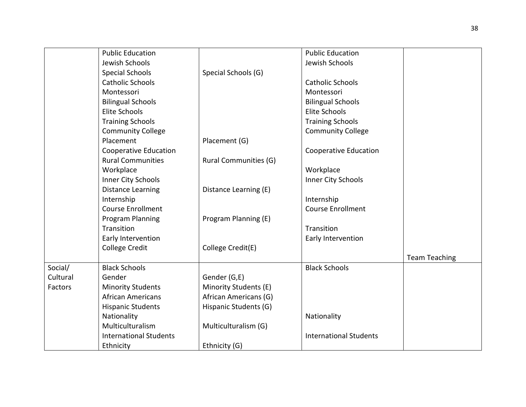|          | <b>Public Education</b>       |                              | <b>Public Education</b>       |                      |
|----------|-------------------------------|------------------------------|-------------------------------|----------------------|
|          | Jewish Schools                |                              | Jewish Schools                |                      |
|          | <b>Special Schools</b>        | Special Schools (G)          |                               |                      |
|          | <b>Catholic Schools</b>       |                              | <b>Catholic Schools</b>       |                      |
|          | Montessori                    |                              | Montessori                    |                      |
|          | <b>Bilingual Schools</b>      |                              | <b>Bilingual Schools</b>      |                      |
|          | Elite Schools                 |                              | Elite Schools                 |                      |
|          | <b>Training Schools</b>       |                              | <b>Training Schools</b>       |                      |
|          | <b>Community College</b>      |                              | <b>Community College</b>      |                      |
|          | Placement                     | Placement (G)                |                               |                      |
|          | <b>Cooperative Education</b>  |                              | <b>Cooperative Education</b>  |                      |
|          | <b>Rural Communities</b>      | <b>Rural Communities (G)</b> |                               |                      |
|          | Workplace                     |                              | Workplace                     |                      |
|          | Inner City Schools            |                              | Inner City Schools            |                      |
|          | <b>Distance Learning</b>      | Distance Learning (E)        |                               |                      |
|          | Internship                    |                              | Internship                    |                      |
|          | <b>Course Enrollment</b>      |                              | <b>Course Enrollment</b>      |                      |
|          | <b>Program Planning</b>       | Program Planning (E)         |                               |                      |
|          | Transition                    |                              | Transition                    |                      |
|          | Early Intervention            |                              | Early Intervention            |                      |
|          | <b>College Credit</b>         | College Credit(E)            |                               |                      |
|          |                               |                              |                               | <b>Team Teaching</b> |
| Social/  | <b>Black Schools</b>          |                              | <b>Black Schools</b>          |                      |
| Cultural | Gender                        | Gender (G,E)                 |                               |                      |
| Factors  | <b>Minority Students</b>      | Minority Students (E)        |                               |                      |
|          | <b>African Americans</b>      | African Americans (G)        |                               |                      |
|          | <b>Hispanic Students</b>      | Hispanic Students (G)        |                               |                      |
|          | Nationality                   |                              | Nationality                   |                      |
|          | Multiculturalism              | Multiculturalism (G)         |                               |                      |
|          | <b>International Students</b> |                              | <b>International Students</b> |                      |
|          | Ethnicity                     | Ethnicity (G)                |                               |                      |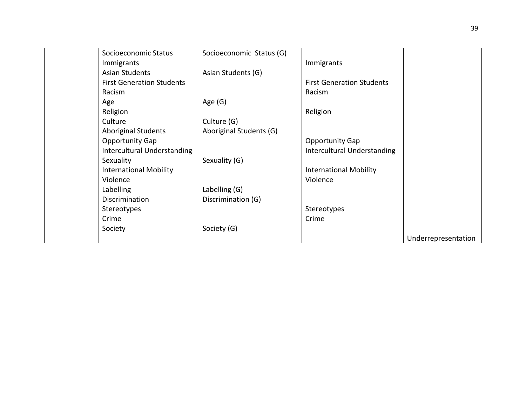| Socioeconomic Status             | Socioeconomic Status (G) |                                    |                     |
|----------------------------------|--------------------------|------------------------------------|---------------------|
| Immigrants                       |                          | Immigrants                         |                     |
| <b>Asian Students</b>            | Asian Students (G)       |                                    |                     |
| <b>First Generation Students</b> |                          | <b>First Generation Students</b>   |                     |
| Racism                           |                          | Racism                             |                     |
| Age                              | Age $(G)$                |                                    |                     |
| Religion                         |                          | Religion                           |                     |
| Culture                          | Culture (G)              |                                    |                     |
| <b>Aboriginal Students</b>       | Aboriginal Students (G)  |                                    |                     |
| <b>Opportunity Gap</b>           |                          | <b>Opportunity Gap</b>             |                     |
| Intercultural Understanding      |                          | <b>Intercultural Understanding</b> |                     |
| Sexuality                        | Sexuality (G)            |                                    |                     |
| <b>International Mobility</b>    |                          | <b>International Mobility</b>      |                     |
| Violence                         |                          | Violence                           |                     |
| Labelling                        | Labelling (G)            |                                    |                     |
| Discrimination                   | Discrimination (G)       |                                    |                     |
| Stereotypes                      |                          | Stereotypes                        |                     |
| Crime                            |                          | Crime                              |                     |
| Society                          | Society (G)              |                                    |                     |
|                                  |                          |                                    | Underrepresentation |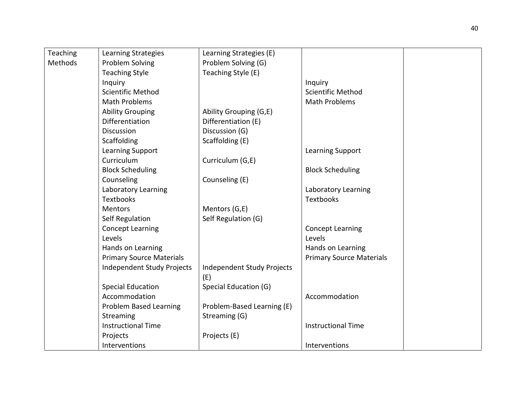| Teaching | Learning Strategies             | Learning Strategies (E)    |                                 |  |
|----------|---------------------------------|----------------------------|---------------------------------|--|
| Methods  | Problem Solving                 | Problem Solving (G)        |                                 |  |
|          | <b>Teaching Style</b>           | Teaching Style (E)         |                                 |  |
|          | Inquiry                         |                            | Inquiry                         |  |
|          | <b>Scientific Method</b>        |                            | <b>Scientific Method</b>        |  |
|          | <b>Math Problems</b>            |                            | <b>Math Problems</b>            |  |
|          | <b>Ability Grouping</b>         | Ability Grouping (G,E)     |                                 |  |
|          | Differentiation                 | Differentiation (E)        |                                 |  |
|          | <b>Discussion</b>               | Discussion (G)             |                                 |  |
|          | Scaffolding                     | Scaffolding (E)            |                                 |  |
|          | Learning Support                |                            | Learning Support                |  |
|          | Curriculum                      | Curriculum (G,E)           |                                 |  |
|          | <b>Block Scheduling</b>         |                            | <b>Block Scheduling</b>         |  |
|          | Counseling                      | Counseling (E)             |                                 |  |
|          | Laboratory Learning             |                            | Laboratory Learning             |  |
|          | <b>Textbooks</b>                |                            | <b>Textbooks</b>                |  |
|          | <b>Mentors</b>                  | Mentors (G,E)              |                                 |  |
|          | <b>Self Regulation</b>          | Self Regulation (G)        |                                 |  |
|          | <b>Concept Learning</b>         |                            | <b>Concept Learning</b>         |  |
|          | Levels                          |                            | Levels                          |  |
|          | Hands on Learning               |                            | Hands on Learning               |  |
|          | <b>Primary Source Materials</b> |                            | <b>Primary Source Materials</b> |  |
|          | Independent Study Projects      | Independent Study Projects |                                 |  |
|          |                                 | (E)                        |                                 |  |
|          | <b>Special Education</b>        | Special Education (G)      |                                 |  |
|          | Accommodation                   |                            | Accommodation                   |  |
|          | <b>Problem Based Learning</b>   | Problem-Based Learning (E) |                                 |  |
|          | <b>Streaming</b>                | Streaming (G)              |                                 |  |
|          | <b>Instructional Time</b>       |                            | <b>Instructional Time</b>       |  |
|          | Projects                        | Projects (E)               |                                 |  |
|          | Interventions                   |                            | Interventions                   |  |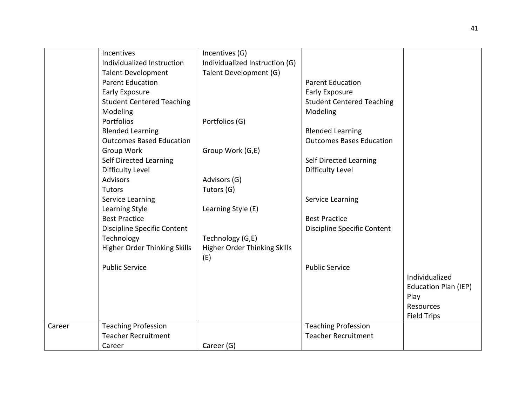|        | Incentives                         | Incentives (G)                      |                                  |                             |
|--------|------------------------------------|-------------------------------------|----------------------------------|-----------------------------|
|        | Individualized Instruction         | Individualized Instruction (G)      |                                  |                             |
|        | <b>Talent Development</b>          | Talent Development (G)              |                                  |                             |
|        | <b>Parent Education</b>            |                                     | <b>Parent Education</b>          |                             |
|        | <b>Early Exposure</b>              |                                     | <b>Early Exposure</b>            |                             |
|        | <b>Student Centered Teaching</b>   |                                     | <b>Student Centered Teaching</b> |                             |
|        | Modeling                           |                                     | Modeling                         |                             |
|        | Portfolios                         | Portfolios (G)                      |                                  |                             |
|        | <b>Blended Learning</b>            |                                     | <b>Blended Learning</b>          |                             |
|        | <b>Outcomes Based Education</b>    |                                     | <b>Outcomes Bases Education</b>  |                             |
|        | Group Work                         | Group Work (G,E)                    |                                  |                             |
|        | Self Directed Learning             |                                     | Self Directed Learning           |                             |
|        | <b>Difficulty Level</b>            |                                     | <b>Difficulty Level</b>          |                             |
|        | <b>Advisors</b>                    | Advisors (G)                        |                                  |                             |
|        | Tutors                             | Tutors (G)                          |                                  |                             |
|        | Service Learning                   |                                     | <b>Service Learning</b>          |                             |
|        | Learning Style                     | Learning Style (E)                  |                                  |                             |
|        | <b>Best Practice</b>               |                                     | <b>Best Practice</b>             |                             |
|        | <b>Discipline Specific Content</b> |                                     | Discipline Specific Content      |                             |
|        | Technology                         | Technology (G,E)                    |                                  |                             |
|        | Higher Order Thinking Skills       | <b>Higher Order Thinking Skills</b> |                                  |                             |
|        |                                    | (E)                                 |                                  |                             |
|        | <b>Public Service</b>              |                                     | <b>Public Service</b>            |                             |
|        |                                    |                                     |                                  | Individualized              |
|        |                                    |                                     |                                  | <b>Education Plan (IEP)</b> |
|        |                                    |                                     |                                  | Play                        |
|        |                                    |                                     |                                  | Resources                   |
|        |                                    |                                     |                                  | <b>Field Trips</b>          |
| Career | <b>Teaching Profession</b>         |                                     | <b>Teaching Profession</b>       |                             |
|        | <b>Teacher Recruitment</b>         |                                     | <b>Teacher Recruitment</b>       |                             |
|        | Career                             | Career (G)                          |                                  |                             |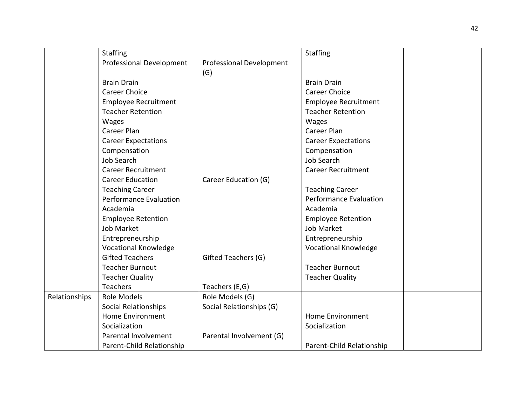|               | <b>Staffing</b>                 |                          | <b>Staffing</b>               |  |
|---------------|---------------------------------|--------------------------|-------------------------------|--|
|               | <b>Professional Development</b> | Professional Development |                               |  |
|               |                                 | (G)                      |                               |  |
|               | <b>Brain Drain</b>              |                          | <b>Brain Drain</b>            |  |
|               | <b>Career Choice</b>            |                          | <b>Career Choice</b>          |  |
|               | <b>Employee Recruitment</b>     |                          | <b>Employee Recruitment</b>   |  |
|               | <b>Teacher Retention</b>        |                          | <b>Teacher Retention</b>      |  |
|               | Wages                           |                          | <b>Wages</b>                  |  |
|               | <b>Career Plan</b>              |                          | Career Plan                   |  |
|               | <b>Career Expectations</b>      |                          | <b>Career Expectations</b>    |  |
|               | Compensation                    |                          | Compensation                  |  |
|               | <b>Job Search</b>               |                          | <b>Job Search</b>             |  |
|               | <b>Career Recruitment</b>       |                          | <b>Career Recruitment</b>     |  |
|               | <b>Career Education</b>         | Career Education (G)     |                               |  |
|               | <b>Teaching Career</b>          |                          | <b>Teaching Career</b>        |  |
|               | <b>Performance Evaluation</b>   |                          | <b>Performance Evaluation</b> |  |
|               | Academia                        |                          | Academia                      |  |
|               | <b>Employee Retention</b>       |                          | <b>Employee Retention</b>     |  |
|               | Job Market                      |                          | Job Market                    |  |
|               | Entrepreneurship                |                          | Entrepreneurship              |  |
|               | <b>Vocational Knowledge</b>     |                          | <b>Vocational Knowledge</b>   |  |
|               | <b>Gifted Teachers</b>          | Gifted Teachers (G)      |                               |  |
|               | <b>Teacher Burnout</b>          |                          | <b>Teacher Burnout</b>        |  |
|               | <b>Teacher Quality</b>          |                          | <b>Teacher Quality</b>        |  |
|               | Teachers                        | Teachers (E,G)           |                               |  |
| Relationships | <b>Role Models</b>              | Role Models (G)          |                               |  |
|               | <b>Social Relationships</b>     | Social Relationships (G) |                               |  |
|               | <b>Home Environment</b>         |                          | <b>Home Environment</b>       |  |
|               | Socialization                   |                          | Socialization                 |  |
|               | Parental Involvement            | Parental Involvement (G) |                               |  |
|               | Parent-Child Relationship       |                          | Parent-Child Relationship     |  |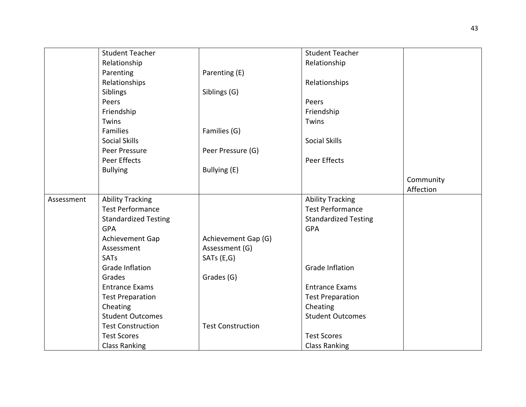|            | <b>Student Teacher</b>      |                          | <b>Student Teacher</b>      |           |
|------------|-----------------------------|--------------------------|-----------------------------|-----------|
|            | Relationship                |                          | Relationship                |           |
|            | Parenting                   | Parenting (E)            |                             |           |
|            | Relationships               |                          | Relationships               |           |
|            | Siblings                    | Siblings (G)             |                             |           |
|            | Peers                       |                          | Peers                       |           |
|            | Friendship                  |                          | Friendship                  |           |
|            | Twins                       |                          | Twins                       |           |
|            | <b>Families</b>             | Families (G)             |                             |           |
|            | <b>Social Skills</b>        |                          | <b>Social Skills</b>        |           |
|            | Peer Pressure               | Peer Pressure (G)        |                             |           |
|            | Peer Effects                |                          | Peer Effects                |           |
|            | <b>Bullying</b>             | Bullying (E)             |                             |           |
|            |                             |                          |                             | Community |
|            |                             |                          |                             | Affection |
| Assessment | <b>Ability Tracking</b>     |                          | <b>Ability Tracking</b>     |           |
|            | <b>Test Performance</b>     |                          | <b>Test Performance</b>     |           |
|            | <b>Standardized Testing</b> |                          | <b>Standardized Testing</b> |           |
|            | <b>GPA</b>                  |                          | <b>GPA</b>                  |           |
|            | Achievement Gap             | Achievement Gap (G)      |                             |           |
|            | Assessment                  | Assessment (G)           |                             |           |
|            | <b>SATs</b>                 | SATs (E,G)               |                             |           |
|            | <b>Grade Inflation</b>      |                          | <b>Grade Inflation</b>      |           |
|            | Grades                      | Grades (G)               |                             |           |
|            | <b>Entrance Exams</b>       |                          | <b>Entrance Exams</b>       |           |
|            | <b>Test Preparation</b>     |                          | <b>Test Preparation</b>     |           |
|            | Cheating                    |                          | Cheating                    |           |
|            | <b>Student Outcomes</b>     |                          | <b>Student Outcomes</b>     |           |
|            | <b>Test Construction</b>    | <b>Test Construction</b> |                             |           |
|            | <b>Test Scores</b>          |                          | <b>Test Scores</b>          |           |
|            | <b>Class Ranking</b>        |                          | <b>Class Ranking</b>        |           |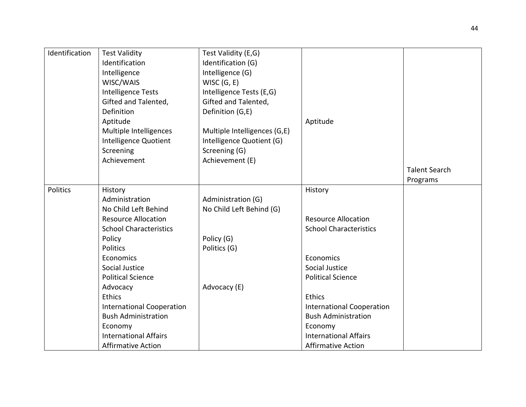| Identification | <b>Test Validity</b>             | Test Validity (E,G)          |                                  |                      |
|----------------|----------------------------------|------------------------------|----------------------------------|----------------------|
|                | Identification                   | Identification (G)           |                                  |                      |
|                | Intelligence                     | Intelligence (G)             |                                  |                      |
|                | WISC/WAIS                        | WISC(G, E)                   |                                  |                      |
|                | <b>Intelligence Tests</b>        | Intelligence Tests (E,G)     |                                  |                      |
|                | Gifted and Talented,             | Gifted and Talented,         |                                  |                      |
|                | Definition                       | Definition (G,E)             |                                  |                      |
|                | Aptitude                         |                              | Aptitude                         |                      |
|                | Multiple Intelligences           | Multiple Intelligences (G,E) |                                  |                      |
|                | Intelligence Quotient            | Intelligence Quotient (G)    |                                  |                      |
|                | Screening                        | Screening (G)                |                                  |                      |
|                | Achievement                      | Achievement (E)              |                                  |                      |
|                |                                  |                              |                                  | <b>Talent Search</b> |
|                |                                  |                              |                                  | Programs             |
| Politics       | History                          |                              | History                          |                      |
|                | Administration                   | Administration (G)           |                                  |                      |
|                | No Child Left Behind             | No Child Left Behind (G)     |                                  |                      |
|                | <b>Resource Allocation</b>       |                              | <b>Resource Allocation</b>       |                      |
|                | <b>School Characteristics</b>    |                              | <b>School Characteristics</b>    |                      |
|                | Policy                           | Policy (G)                   |                                  |                      |
|                | Politics                         | Politics (G)                 |                                  |                      |
|                | Economics                        |                              | Economics                        |                      |
|                | Social Justice                   |                              | Social Justice                   |                      |
|                | <b>Political Science</b>         |                              | <b>Political Science</b>         |                      |
|                | Advocacy                         | Advocacy (E)                 |                                  |                      |
|                | Ethics                           |                              | <b>Ethics</b>                    |                      |
|                | <b>International Cooperation</b> |                              | <b>International Cooperation</b> |                      |
|                | <b>Bush Administration</b>       |                              | <b>Bush Administration</b>       |                      |
|                | Economy                          |                              | Economy                          |                      |
|                | <b>International Affairs</b>     |                              | <b>International Affairs</b>     |                      |
|                | <b>Affirmative Action</b>        |                              | <b>Affirmative Action</b>        |                      |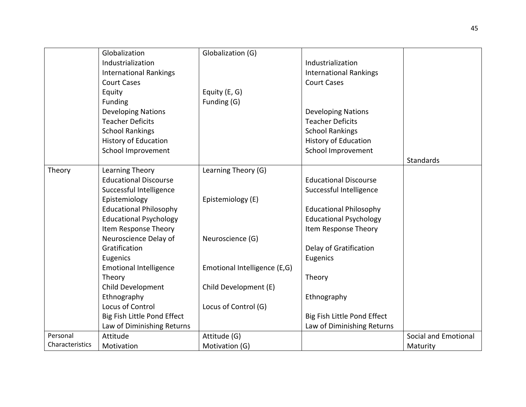|                 | Globalization                 | Globalization (G)            |                               |                      |
|-----------------|-------------------------------|------------------------------|-------------------------------|----------------------|
|                 | Industrialization             |                              | Industrialization             |                      |
|                 | <b>International Rankings</b> |                              | <b>International Rankings</b> |                      |
|                 | <b>Court Cases</b>            |                              | <b>Court Cases</b>            |                      |
|                 | Equity                        | Equity (E, G)                |                               |                      |
|                 | Funding                       | Funding (G)                  |                               |                      |
|                 | <b>Developing Nations</b>     |                              | <b>Developing Nations</b>     |                      |
|                 | <b>Teacher Deficits</b>       |                              | <b>Teacher Deficits</b>       |                      |
|                 | <b>School Rankings</b>        |                              | <b>School Rankings</b>        |                      |
|                 | <b>History of Education</b>   |                              | <b>History of Education</b>   |                      |
|                 | School Improvement            |                              | School Improvement            |                      |
|                 |                               |                              |                               | Standards            |
| Theory          | Learning Theory               | Learning Theory (G)          |                               |                      |
|                 | <b>Educational Discourse</b>  |                              | <b>Educational Discourse</b>  |                      |
|                 | Successful Intelligence       |                              | Successful Intelligence       |                      |
|                 | Epistemiology                 | Epistemiology (E)            |                               |                      |
|                 | <b>Educational Philosophy</b> |                              | <b>Educational Philosophy</b> |                      |
|                 | <b>Educational Psychology</b> |                              | <b>Educational Psychology</b> |                      |
|                 | Item Response Theory          |                              | Item Response Theory          |                      |
|                 | Neuroscience Delay of         | Neuroscience (G)             |                               |                      |
|                 | Gratification                 |                              | Delay of Gratification        |                      |
|                 | Eugenics                      |                              | Eugenics                      |                      |
|                 | <b>Emotional Intelligence</b> | Emotional Intelligence (E,G) |                               |                      |
|                 | Theory                        |                              | Theory                        |                      |
|                 | Child Development             | Child Development (E)        |                               |                      |
|                 | Ethnography                   |                              | Ethnography                   |                      |
|                 | Locus of Control              | Locus of Control (G)         |                               |                      |
|                 | Big Fish Little Pond Effect   |                              | Big Fish Little Pond Effect   |                      |
|                 | Law of Diminishing Returns    |                              | Law of Diminishing Returns    |                      |
| Personal        | Attitude                      | Attitude (G)                 |                               | Social and Emotional |
| Characteristics | Motivation                    | Motivation (G)               |                               | Maturity             |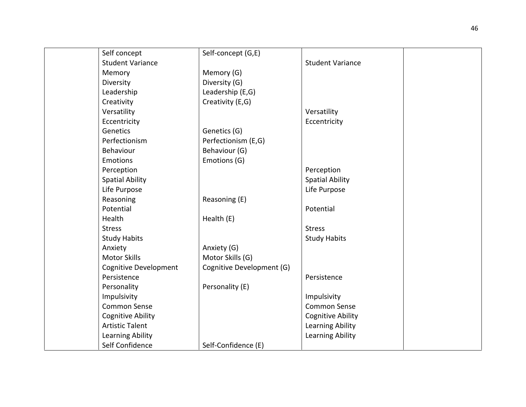| Self concept                 | Self-concept (G,E)        |                          |  |
|------------------------------|---------------------------|--------------------------|--|
| <b>Student Variance</b>      |                           | <b>Student Variance</b>  |  |
| Memory                       | Memory (G)                |                          |  |
| Diversity                    | Diversity (G)             |                          |  |
| Leadership                   | Leadership (E,G)          |                          |  |
| Creativity                   | Creativity (E,G)          |                          |  |
| Versatility                  |                           | Versatility              |  |
| Eccentricity                 |                           | Eccentricity             |  |
| Genetics                     | Genetics (G)              |                          |  |
| Perfectionism                | Perfectionism (E,G)       |                          |  |
| Behaviour                    | Behaviour (G)             |                          |  |
| Emotions                     | Emotions (G)              |                          |  |
| Perception                   |                           | Perception               |  |
| <b>Spatial Ability</b>       |                           | <b>Spatial Ability</b>   |  |
| Life Purpose                 |                           | Life Purpose             |  |
| Reasoning                    | Reasoning (E)             |                          |  |
| Potential                    |                           | Potential                |  |
| Health                       | Health (E)                |                          |  |
| <b>Stress</b>                |                           | <b>Stress</b>            |  |
| <b>Study Habits</b>          |                           | <b>Study Habits</b>      |  |
| Anxiety                      | Anxiety (G)               |                          |  |
| <b>Motor Skills</b>          | Motor Skills (G)          |                          |  |
| <b>Cognitive Development</b> | Cognitive Development (G) |                          |  |
| Persistence                  |                           | Persistence              |  |
| Personality                  | Personality (E)           |                          |  |
| Impulsivity                  |                           | Impulsivity              |  |
| <b>Common Sense</b>          |                           | Common Sense             |  |
| <b>Cognitive Ability</b>     |                           | <b>Cognitive Ability</b> |  |
| <b>Artistic Talent</b>       |                           | <b>Learning Ability</b>  |  |
| <b>Learning Ability</b>      |                           | Learning Ability         |  |
| Self Confidence              | Self-Confidence (E)       |                          |  |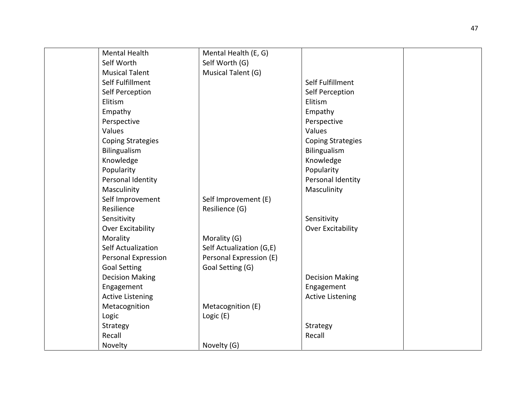| <b>Mental Health</b>     | Mental Health (E, G)     |                          |  |
|--------------------------|--------------------------|--------------------------|--|
| Self Worth               | Self Worth (G)           |                          |  |
| <b>Musical Talent</b>    | Musical Talent (G)       |                          |  |
| Self Fulfillment         |                          | Self Fulfillment         |  |
| Self Perception          |                          | Self Perception          |  |
| Elitism                  |                          | Elitism                  |  |
| Empathy                  |                          | Empathy                  |  |
| Perspective              |                          | Perspective              |  |
| Values                   |                          | Values                   |  |
| <b>Coping Strategies</b> |                          | <b>Coping Strategies</b> |  |
| Bilingualism             |                          | Bilingualism             |  |
| Knowledge                |                          | Knowledge                |  |
| Popularity               |                          | Popularity               |  |
| Personal Identity        |                          | Personal Identity        |  |
| Masculinity              |                          | Masculinity              |  |
| Self Improvement         | Self Improvement (E)     |                          |  |
| Resilience               | Resilience (G)           |                          |  |
| Sensitivity              |                          | Sensitivity              |  |
| Over Excitability        |                          | Over Excitability        |  |
| Morality                 | Morality (G)             |                          |  |
| Self Actualization       | Self Actualization (G,E) |                          |  |
| Personal Expression      | Personal Expression (E)  |                          |  |
| <b>Goal Setting</b>      | Goal Setting (G)         |                          |  |
| <b>Decision Making</b>   |                          | <b>Decision Making</b>   |  |
| Engagement               |                          | Engagement               |  |
| <b>Active Listening</b>  |                          | <b>Active Listening</b>  |  |
| Metacognition            | Metacognition (E)        |                          |  |
| Logic                    | Logic (E)                |                          |  |
| Strategy                 |                          | Strategy                 |  |
| Recall                   |                          | Recall                   |  |
| Novelty                  | Novelty (G)              |                          |  |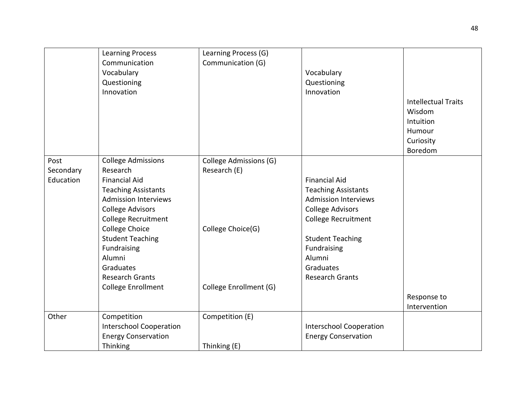|           | <b>Learning Process</b>        | Learning Process (G)   |                                |                            |
|-----------|--------------------------------|------------------------|--------------------------------|----------------------------|
|           | Communication                  | Communication (G)      |                                |                            |
|           | Vocabulary                     |                        | Vocabulary                     |                            |
|           | Questioning                    |                        | Questioning                    |                            |
|           | Innovation                     |                        | Innovation                     |                            |
|           |                                |                        |                                | <b>Intellectual Traits</b> |
|           |                                |                        |                                | Wisdom                     |
|           |                                |                        |                                | Intuition                  |
|           |                                |                        |                                | Humour                     |
|           |                                |                        |                                | Curiosity                  |
|           |                                |                        |                                | Boredom                    |
| Post      | <b>College Admissions</b>      | College Admissions (G) |                                |                            |
| Secondary | Research                       | Research (E)           |                                |                            |
| Education | <b>Financial Aid</b>           |                        | <b>Financial Aid</b>           |                            |
|           | <b>Teaching Assistants</b>     |                        | <b>Teaching Assistants</b>     |                            |
|           | <b>Admission Interviews</b>    |                        | <b>Admission Interviews</b>    |                            |
|           | <b>College Advisors</b>        |                        | <b>College Advisors</b>        |                            |
|           | College Recruitment            |                        | <b>College Recruitment</b>     |                            |
|           | <b>College Choice</b>          | College Choice(G)      |                                |                            |
|           | <b>Student Teaching</b>        |                        | <b>Student Teaching</b>        |                            |
|           | Fundraising                    |                        | Fundraising                    |                            |
|           | Alumni                         |                        | Alumni                         |                            |
|           | Graduates                      |                        | Graduates                      |                            |
|           | <b>Research Grants</b>         |                        | <b>Research Grants</b>         |                            |
|           | College Enrollment             | College Enrollment (G) |                                |                            |
|           |                                |                        |                                | Response to                |
|           |                                |                        |                                | Intervention               |
| Other     | Competition                    | Competition (E)        |                                |                            |
|           | <b>Interschool Cooperation</b> |                        | <b>Interschool Cooperation</b> |                            |
|           | <b>Energy Conservation</b>     |                        | <b>Energy Conservation</b>     |                            |
|           | Thinking                       | Thinking (E)           |                                |                            |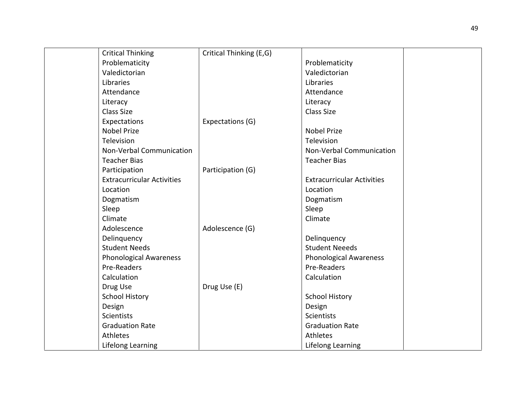| <b>Critical Thinking</b>          | Critical Thinking (E,G) |                                   |  |
|-----------------------------------|-------------------------|-----------------------------------|--|
| Problematicity                    |                         | Problematicity                    |  |
| Valedictorian                     |                         | Valedictorian                     |  |
| Libraries                         |                         | Libraries                         |  |
| Attendance                        |                         | Attendance                        |  |
| Literacy                          |                         | Literacy                          |  |
| <b>Class Size</b>                 |                         | Class Size                        |  |
| Expectations                      | Expectations (G)        |                                   |  |
| <b>Nobel Prize</b>                |                         | <b>Nobel Prize</b>                |  |
| Television                        |                         | Television                        |  |
| Non-Verbal Communication          |                         | Non-Verbal Communication          |  |
| <b>Teacher Bias</b>               |                         | <b>Teacher Bias</b>               |  |
| Participation                     | Participation (G)       |                                   |  |
| <b>Extracurricular Activities</b> |                         | <b>Extracurricular Activities</b> |  |
| Location                          |                         | Location                          |  |
| Dogmatism                         |                         | Dogmatism                         |  |
| Sleep                             |                         | Sleep                             |  |
| Climate                           |                         | Climate                           |  |
| Adolescence                       | Adolescence (G)         |                                   |  |
| Delinquency                       |                         | Delinquency                       |  |
| <b>Student Needs</b>              |                         | <b>Student Neeeds</b>             |  |
| <b>Phonological Awareness</b>     |                         | <b>Phonological Awareness</b>     |  |
| Pre-Readers                       |                         | Pre-Readers                       |  |
| Calculation                       |                         | Calculation                       |  |
| Drug Use                          | Drug Use (E)            |                                   |  |
| <b>School History</b>             |                         | <b>School History</b>             |  |
| Design                            |                         | Design                            |  |
| <b>Scientists</b>                 |                         | <b>Scientists</b>                 |  |
| <b>Graduation Rate</b>            |                         | <b>Graduation Rate</b>            |  |
| Athletes                          |                         | Athletes                          |  |
| Lifelong Learning                 |                         | Lifelong Learning                 |  |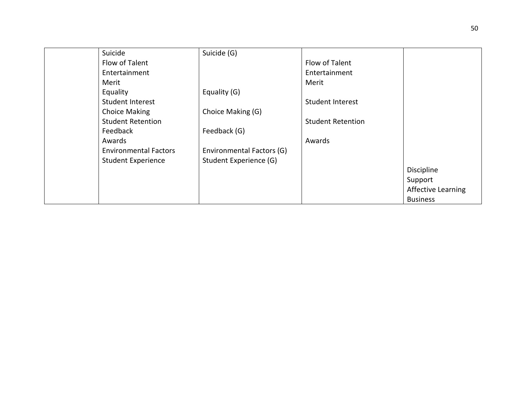| Suicide                      | Suicide (G)               |                          |                           |
|------------------------------|---------------------------|--------------------------|---------------------------|
| Flow of Talent               |                           | Flow of Talent           |                           |
| Entertainment                |                           | Entertainment            |                           |
| Merit                        |                           | Merit                    |                           |
| Equality                     | Equality (G)              |                          |                           |
| Student Interest             |                           | <b>Student Interest</b>  |                           |
| Choice Making                | Choice Making (G)         |                          |                           |
| <b>Student Retention</b>     |                           | <b>Student Retention</b> |                           |
| Feedback                     | Feedback (G)              |                          |                           |
| Awards                       |                           | Awards                   |                           |
| <b>Environmental Factors</b> | Environmental Factors (G) |                          |                           |
| <b>Student Experience</b>    | Student Experience (G)    |                          |                           |
|                              |                           |                          | Discipline                |
|                              |                           |                          | Support                   |
|                              |                           |                          | <b>Affective Learning</b> |
|                              |                           |                          | <b>Business</b>           |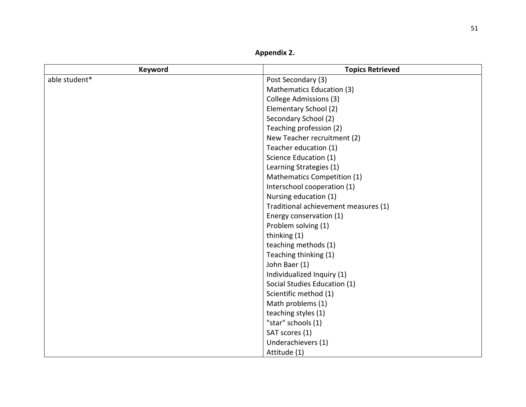Appendix 2.

| <b>Keyword</b> | <b>Topics Retrieved</b>              |
|----------------|--------------------------------------|
| able student*  | Post Secondary (3)                   |
|                | Mathematics Education (3)            |
|                | College Admissions (3)               |
|                | Elementary School (2)                |
|                | Secondary School (2)                 |
|                | Teaching profession (2)              |
|                | New Teacher recruitment (2)          |
|                | Teacher education (1)                |
|                | Science Education (1)                |
|                | Learning Strategies (1)              |
|                | Mathematics Competition (1)          |
|                | Interschool cooperation (1)          |
|                | Nursing education (1)                |
|                | Traditional achievement measures (1) |
|                | Energy conservation (1)              |
|                | Problem solving (1)                  |
|                | thinking (1)                         |
|                | teaching methods (1)                 |
|                | Teaching thinking (1)                |
|                | John Baer (1)                        |
|                | Individualized Inquiry (1)           |
|                | Social Studies Education (1)         |
|                | Scientific method (1)                |
|                | Math problems (1)                    |
|                | teaching styles (1)                  |
|                | "star" schools (1)                   |
|                | SAT scores (1)                       |
|                | Underachievers (1)                   |
|                | Attitude (1)                         |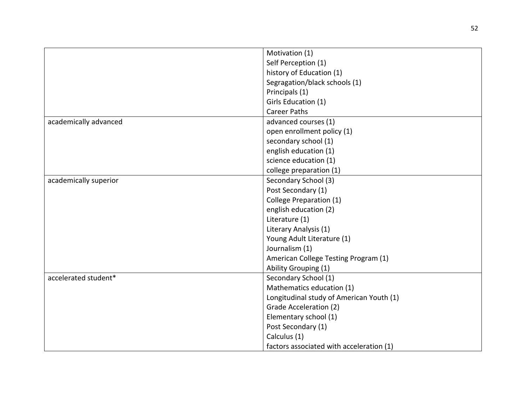|                       | Motivation (1)                           |
|-----------------------|------------------------------------------|
|                       | Self Perception (1)                      |
|                       | history of Education (1)                 |
|                       | Segragation/black schools (1)            |
|                       | Principals (1)                           |
|                       | Girls Education (1)                      |
|                       | <b>Career Paths</b>                      |
| academically advanced | advanced courses (1)                     |
|                       | open enrollment policy (1)               |
|                       | secondary school (1)                     |
|                       | english education (1)                    |
|                       | science education (1)                    |
|                       | college preparation (1)                  |
| academically superior | Secondary School (3)                     |
|                       | Post Secondary (1)                       |
|                       | College Preparation (1)                  |
|                       | english education (2)                    |
|                       | Literature (1)                           |
|                       | Literary Analysis (1)                    |
|                       | Young Adult Literature (1)               |
|                       | Journalism (1)                           |
|                       | American College Testing Program (1)     |
|                       | Ability Grouping (1)                     |
| accelerated student*  | Secondary School (1)                     |
|                       | Mathematics education (1)                |
|                       | Longitudinal study of American Youth (1) |
|                       | <b>Grade Acceleration (2)</b>            |
|                       | Elementary school (1)                    |
|                       | Post Secondary (1)                       |
|                       | Calculus (1)                             |
|                       | factors associated with acceleration (1) |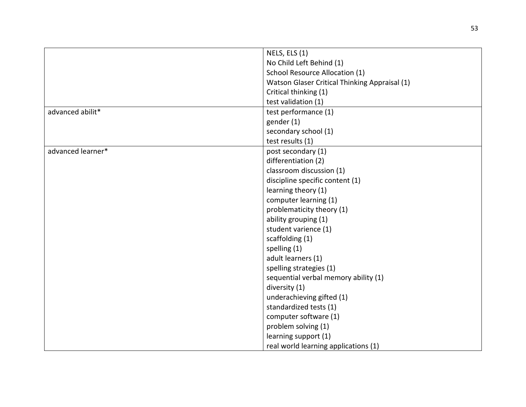|                   | NELS, ELS (1)                                 |
|-------------------|-----------------------------------------------|
|                   | No Child Left Behind (1)                      |
|                   | School Resource Allocation (1)                |
|                   | Watson Glaser Critical Thinking Appraisal (1) |
|                   | Critical thinking (1)                         |
|                   | test validation (1)                           |
| advanced abilit*  | test performance (1)                          |
|                   | gender (1)                                    |
|                   | secondary school (1)                          |
|                   | test results (1)                              |
| advanced learner* | post secondary (1)                            |
|                   | differentiation (2)                           |
|                   | classroom discussion (1)                      |
|                   | discipline specific content (1)               |
|                   | learning theory (1)                           |
|                   | computer learning (1)                         |
|                   | problematicity theory (1)                     |
|                   | ability grouping (1)                          |
|                   | student varience (1)                          |
|                   | scaffolding (1)                               |
|                   | spelling (1)                                  |
|                   | adult learners (1)                            |
|                   | spelling strategies (1)                       |
|                   | sequential verbal memory ability (1)          |
|                   | diversity (1)                                 |
|                   | underachieving gifted (1)                     |
|                   | standardized tests (1)                        |
|                   | computer software (1)                         |
|                   | problem solving (1)                           |
|                   | learning support (1)                          |
|                   | real world learning applications (1)          |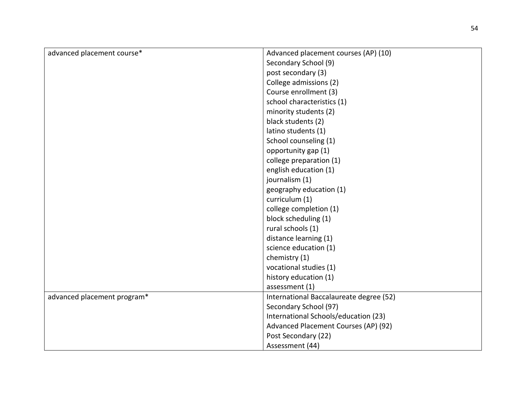| advanced placement course*  | Advanced placement courses (AP) (10)    |
|-----------------------------|-----------------------------------------|
|                             | Secondary School (9)                    |
|                             | post secondary (3)                      |
|                             | College admissions (2)                  |
|                             | Course enrollment (3)                   |
|                             | school characteristics (1)              |
|                             | minority students (2)                   |
|                             | black students (2)                      |
|                             | latino students (1)                     |
|                             | School counseling (1)                   |
|                             | opportunity gap (1)                     |
|                             | college preparation (1)                 |
|                             | english education (1)                   |
|                             | journalism (1)                          |
|                             | geography education (1)                 |
|                             | curriculum (1)                          |
|                             | college completion (1)                  |
|                             | block scheduling (1)                    |
|                             | rural schools (1)                       |
|                             | distance learning (1)                   |
|                             | science education (1)                   |
|                             | chemistry (1)                           |
|                             | vocational studies (1)                  |
|                             | history education (1)                   |
|                             | assessment (1)                          |
| advanced placement program* | International Baccalaureate degree (52) |
|                             | Secondary School (97)                   |
|                             | International Schools/education (23)    |
|                             | Advanced Placement Courses (AP) (92)    |
|                             | Post Secondary (22)                     |
|                             | Assessment (44)                         |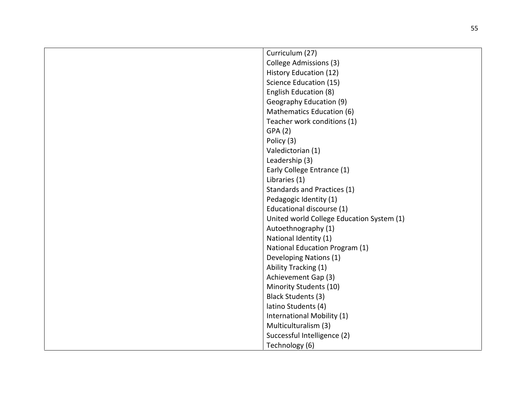| Curriculum (27)                           |
|-------------------------------------------|
| <b>College Admissions (3)</b>             |
| <b>History Education (12)</b>             |
| Science Education (15)                    |
| English Education (8)                     |
| Geography Education (9)                   |
| Mathematics Education (6)                 |
| Teacher work conditions (1)               |
| GPA(2)                                    |
| Policy (3)                                |
| Valedictorian (1)                         |
| Leadership (3)                            |
| Early College Entrance (1)                |
| Libraries (1)                             |
| Standards and Practices (1)               |
| Pedagogic Identity (1)                    |
| Educational discourse (1)                 |
| United world College Education System (1) |
| Autoethnography (1)                       |
| National Identity (1)                     |
| National Education Program (1)            |
| Developing Nations (1)                    |
| Ability Tracking (1)                      |
| Achievement Gap (3)                       |
| Minority Students (10)                    |
| Black Students (3)                        |
| latino Students (4)                       |
| International Mobility (1)                |
| Multiculturalism (3)                      |
| Successful Intelligence (2)               |
| Technology (6)                            |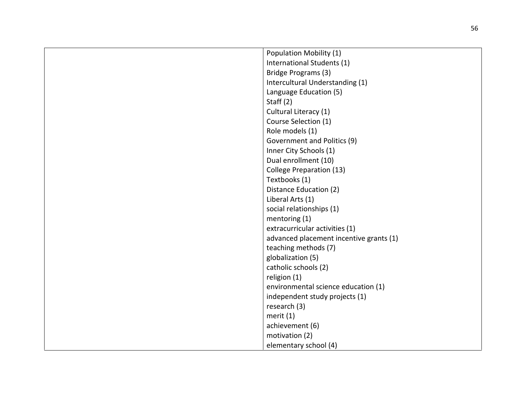| Population Mobility (1)                 |
|-----------------------------------------|
| International Students (1)              |
| Bridge Programs (3)                     |
| Intercultural Understanding (1)         |
| Language Education (5)                  |
| Staff $(2)$                             |
| Cultural Literacy (1)                   |
| Course Selection (1)                    |
| Role models (1)                         |
| Government and Politics (9)             |
| Inner City Schools (1)                  |
| Dual enrollment (10)                    |
| College Preparation (13)                |
| Textbooks (1)                           |
| Distance Education (2)                  |
| Liberal Arts (1)                        |
| social relationships (1)                |
| mentoring (1)                           |
| extracurricular activities (1)          |
| advanced placement incentive grants (1) |
| teaching methods (7)                    |
| globalization (5)                       |
| catholic schools (2)                    |
| religion (1)                            |
| environmental science education (1)     |
| independent study projects (1)          |
| research (3)                            |
| merit (1)                               |
| achievement (6)                         |
| motivation (2)                          |
| elementary school (4)                   |
|                                         |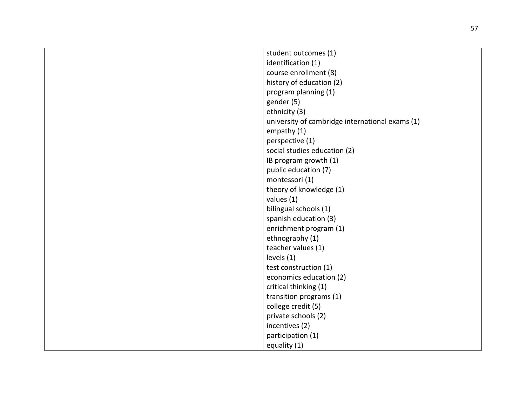| student outcomes (1)                            |
|-------------------------------------------------|
| identification (1)                              |
| course enrollment (8)                           |
| history of education (2)                        |
| program planning (1)                            |
| gender (5)                                      |
| ethnicity (3)                                   |
| university of cambridge international exams (1) |
| empathy (1)                                     |
| perspective (1)                                 |
| social studies education (2)                    |
| IB program growth (1)                           |
| public education (7)                            |
| montessori (1)                                  |
| theory of knowledge (1)                         |
| values (1)                                      |
| bilingual schools (1)                           |
| spanish education (3)                           |
| enrichment program (1)                          |
| ethnography (1)                                 |
| teacher values (1)                              |
| levels (1)                                      |
| test construction (1)                           |
| economics education (2)                         |
| critical thinking (1)                           |
| transition programs (1)                         |
| college credit (5)                              |
| private schools (2)                             |
| incentives (2)                                  |
| participation (1)                               |
| equality (1)                                    |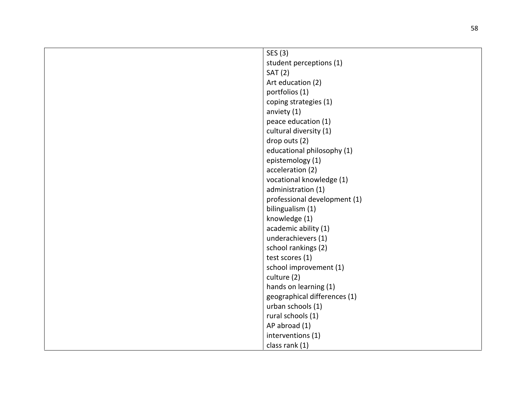| SES (3)                      |
|------------------------------|
| student perceptions (1)      |
| <b>SAT (2)</b>               |
| Art education (2)            |
| portfolios (1)               |
| coping strategies (1)        |
| anviety (1)                  |
| peace education (1)          |
| cultural diversity (1)       |
| drop outs (2)                |
| educational philosophy (1)   |
| epistemology (1)             |
| acceleration (2)             |
| vocational knowledge (1)     |
| administration (1)           |
| professional development (1) |
| bilingualism (1)             |
| knowledge (1)                |
| academic ability (1)         |
| underachievers (1)           |
| school rankings (2)          |
| test scores (1)              |
| school improvement (1)       |
| culture (2)                  |
| hands on learning (1)        |
| geographical differences (1) |
| urban schools (1)            |
| rural schools (1)            |
| AP abroad (1)                |
| interventions (1)            |
| class rank (1)               |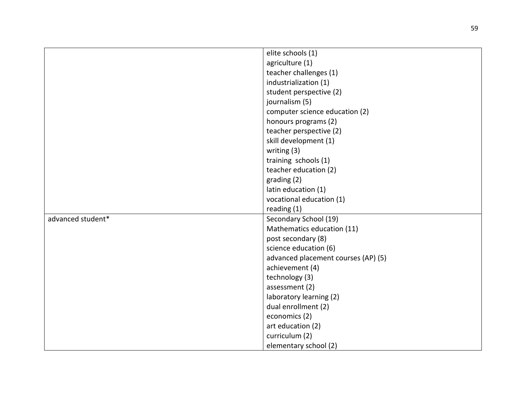|                   | elite schools (1)                   |
|-------------------|-------------------------------------|
|                   | agriculture (1)                     |
|                   | teacher challenges (1)              |
|                   | industrialization (1)               |
|                   | student perspective (2)             |
|                   | journalism (5)                      |
|                   | computer science education (2)      |
|                   | honours programs (2)                |
|                   | teacher perspective (2)             |
|                   | skill development (1)               |
|                   | writing $(3)$                       |
|                   | training schools (1)                |
|                   | teacher education (2)               |
|                   | grading (2)                         |
|                   | latin education (1)                 |
|                   | vocational education (1)            |
|                   | reading (1)                         |
| advanced student* | Secondary School (19)               |
|                   | Mathematics education (11)          |
|                   | post secondary (8)                  |
|                   | science education (6)               |
|                   | advanced placement courses (AP) (5) |
|                   | achievement (4)                     |
|                   | technology (3)                      |
|                   | assessment (2)                      |
|                   | laboratory learning (2)             |
|                   | dual enrollment (2)                 |
|                   | economics (2)                       |
|                   | art education (2)                   |
|                   | curriculum (2)                      |
|                   | elementary school (2)               |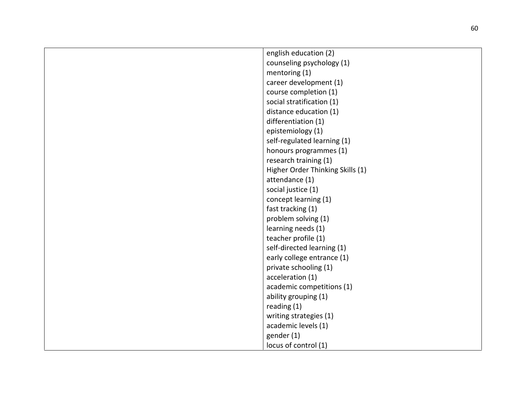| english education (2)            |
|----------------------------------|
| counseling psychology (1)        |
| mentoring (1)                    |
| career development (1)           |
| course completion (1)            |
| social stratification (1)        |
| distance education (1)           |
| differentiation (1)              |
| epistemiology (1)                |
| self-regulated learning (1)      |
| honours programmes (1)           |
| research training (1)            |
| Higher Order Thinking Skills (1) |
| attendance (1)                   |
| social justice (1)               |
| concept learning (1)             |
| fast tracking (1)                |
| problem solving (1)              |
| learning needs (1)               |
| teacher profile (1)              |
| self-directed learning (1)       |
| early college entrance (1)       |
| private schooling (1)            |
| acceleration (1)                 |
| academic competitions (1)        |
| ability grouping (1)             |
| reading $(1)$                    |
| writing strategies (1)           |
| academic levels (1)              |
| gender (1)                       |
| locus of control (1)             |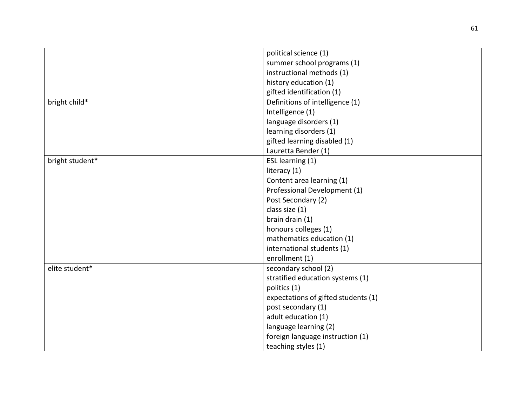|                 | political science (1)               |
|-----------------|-------------------------------------|
|                 | summer school programs (1)          |
|                 | instructional methods (1)           |
|                 | history education (1)               |
|                 | gifted identification (1)           |
| bright child*   | Definitions of intelligence (1)     |
|                 | Intelligence (1)                    |
|                 | language disorders (1)              |
|                 | learning disorders (1)              |
|                 | gifted learning disabled (1)        |
|                 | Lauretta Bender (1)                 |
| bright student* | ESL learning (1)                    |
|                 | literacy (1)                        |
|                 | Content area learning (1)           |
|                 | Professional Development (1)        |
|                 | Post Secondary (2)                  |
|                 | class size (1)                      |
|                 | brain drain (1)                     |
|                 | honours colleges (1)                |
|                 | mathematics education (1)           |
|                 | international students (1)          |
|                 | enrollment (1)                      |
| elite student*  | secondary school (2)                |
|                 | stratified education systems (1)    |
|                 | politics (1)                        |
|                 | expectations of gifted students (1) |
|                 | post secondary (1)                  |
|                 | adult education (1)                 |
|                 | language learning (2)               |
|                 | foreign language instruction (1)    |
|                 | teaching styles (1)                 |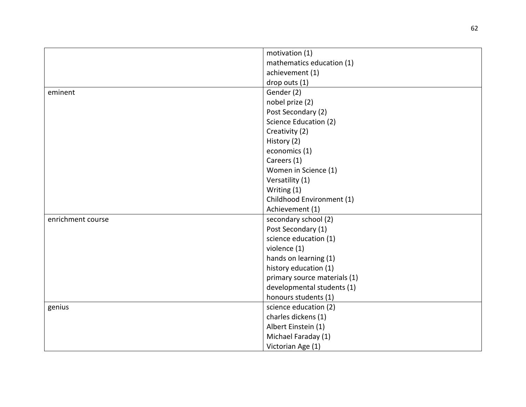|                   | motivation (1)               |
|-------------------|------------------------------|
|                   | mathematics education (1)    |
|                   | achievement (1)              |
|                   | drop outs (1)                |
| eminent           | Gender (2)                   |
|                   | nobel prize (2)              |
|                   | Post Secondary (2)           |
|                   | Science Education (2)        |
|                   | Creativity (2)               |
|                   | History (2)                  |
|                   | economics (1)                |
|                   | Careers (1)                  |
|                   | Women in Science (1)         |
|                   | Versatility (1)              |
|                   | Writing (1)                  |
|                   | Childhood Environment (1)    |
|                   | Achievement (1)              |
| enrichment course | secondary school (2)         |
|                   | Post Secondary (1)           |
|                   | science education (1)        |
|                   | violence (1)                 |
|                   | hands on learning (1)        |
|                   | history education (1)        |
|                   | primary source materials (1) |
|                   | developmental students (1)   |
|                   | honours students (1)         |
| genius            | science education (2)        |
|                   | charles dickens (1)          |
|                   | Albert Einstein (1)          |
|                   | Michael Faraday (1)          |
|                   | Victorian Age (1)            |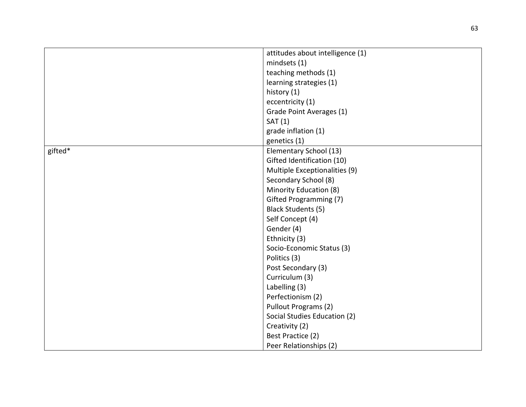|         | attitudes about intelligence (1) |
|---------|----------------------------------|
|         | mindsets (1)                     |
|         | teaching methods (1)             |
|         | learning strategies (1)          |
|         | history (1)                      |
|         | eccentricity (1)                 |
|         | Grade Point Averages (1)         |
|         | SAT(1)                           |
|         | grade inflation (1)              |
|         | genetics (1)                     |
| gifted* | Elementary School (13)           |
|         | Gifted Identification (10)       |
|         | Multiple Exceptionalities (9)    |
|         | Secondary School (8)             |
|         | Minority Education (8)           |
|         | Gifted Programming (7)           |
|         | <b>Black Students (5)</b>        |
|         |                                  |
|         | Self Concept (4)                 |
|         | Gender (4)                       |
|         | Ethnicity (3)                    |
|         | Socio-Economic Status (3)        |
|         | Politics (3)                     |
|         | Post Secondary (3)               |
|         | Curriculum (3)                   |
|         | Labelling (3)                    |
|         | Perfectionism (2)                |
|         | Pullout Programs (2)             |
|         | Social Studies Education (2)     |
|         | Creativity (2)                   |
|         | Best Practice (2)                |
|         | Peer Relationships (2)           |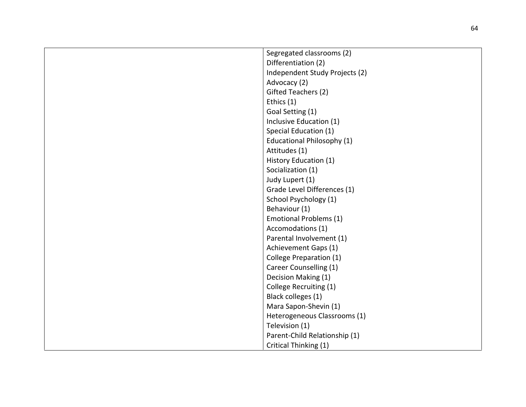| Segregated classrooms (2)         |
|-----------------------------------|
| Differentiation (2)               |
| Independent Study Projects (2)    |
| Advocacy (2)                      |
| Gifted Teachers (2)               |
| Ethics (1)                        |
| Goal Setting (1)                  |
| Inclusive Education (1)           |
| Special Education (1)             |
| <b>Educational Philosophy (1)</b> |
| Attitudes (1)                     |
| History Education (1)             |
| Socialization (1)                 |
| Judy Lupert (1)                   |
| Grade Level Differences (1)       |
| School Psychology (1)             |
| Behaviour (1)                     |
| <b>Emotional Problems (1)</b>     |
| Accomodations (1)                 |
| Parental Involvement (1)          |
| Achievement Gaps (1)              |
| College Preparation (1)           |
| Career Counselling (1)            |
| Decision Making (1)               |
| College Recruiting (1)            |
| Black colleges (1)                |
| Mara Sapon-Shevin (1)             |
| Heterogeneous Classrooms (1)      |
| Television (1)                    |
| Parent-Child Relationship (1)     |
| Critical Thinking (1)             |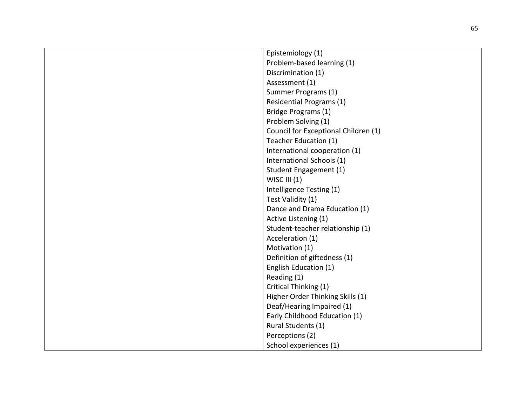| Epistemiology (1)                    |
|--------------------------------------|
| Problem-based learning (1)           |
| Discrimination (1)                   |
| Assessment (1)                       |
| Summer Programs (1)                  |
| <b>Residential Programs (1)</b>      |
| Bridge Programs (1)                  |
| Problem Solving (1)                  |
| Council for Exceptional Children (1) |
| Teacher Education (1)                |
| International cooperation (1)        |
| International Schools (1)            |
| Student Engagement (1)               |
| WISC III (1)                         |
| Intelligence Testing (1)             |
| Test Validity (1)                    |
| Dance and Drama Education (1)        |
| Active Listening (1)                 |
| Student-teacher relationship (1)     |
| Acceleration (1)                     |
| Motivation (1)                       |
| Definition of giftedness (1)         |
| English Education (1)                |
| Reading (1)                          |
| Critical Thinking (1)                |
| Higher Order Thinking Skills (1)     |
| Deaf/Hearing Impaired (1)            |
| Early Childhood Education (1)        |
| Rural Students (1)                   |
| Perceptions (2)                      |
| School experiences (1)               |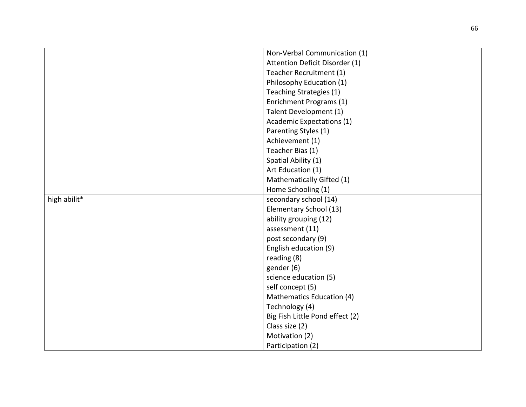|              | Non-Verbal Communication (1)     |
|--------------|----------------------------------|
|              | Attention Deficit Disorder (1)   |
|              | Teacher Recruitment (1)          |
|              | Philosophy Education (1)         |
|              | Teaching Strategies (1)          |
|              | Enrichment Programs (1)          |
|              | Talent Development (1)           |
|              | <b>Academic Expectations (1)</b> |
|              | Parenting Styles (1)             |
|              | Achievement (1)                  |
|              | Teacher Bias (1)                 |
|              | Spatial Ability (1)              |
|              | Art Education (1)                |
|              | Mathematically Gifted (1)        |
|              | Home Schooling (1)               |
| high abilit* | secondary school (14)            |
|              | Elementary School (13)           |
|              | ability grouping (12)            |
|              | assessment (11)                  |
|              | post secondary (9)               |
|              | English education (9)            |
|              | reading (8)                      |
|              | gender (6)                       |
|              | science education (5)            |
|              | self concept (5)                 |
|              | Mathematics Education (4)        |
|              | Technology (4)                   |
|              | Big Fish Little Pond effect (2)  |
|              | Class size (2)                   |
|              | Motivation (2)                   |
|              | Participation (2)                |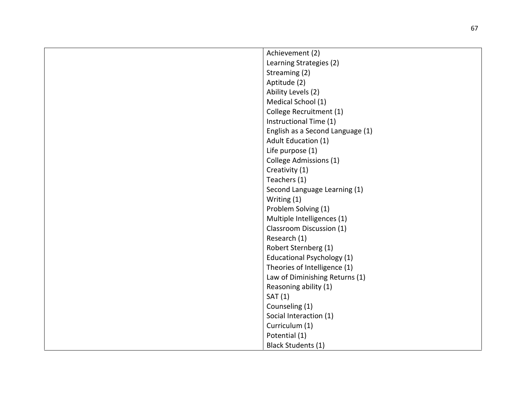| Achievement (2)                  |
|----------------------------------|
| Learning Strategies (2)          |
| Streaming (2)                    |
| Aptitude (2)                     |
| Ability Levels (2)               |
| Medical School (1)               |
| College Recruitment (1)          |
| Instructional Time (1)           |
| English as a Second Language (1) |
| Adult Education (1)              |
| Life purpose (1)                 |
| College Admissions (1)           |
| Creativity (1)                   |
| Teachers (1)                     |
| Second Language Learning (1)     |
| Writing (1)                      |
| Problem Solving (1)              |
| Multiple Intelligences (1)       |
| Classroom Discussion (1)         |
| Research (1)                     |
| Robert Sternberg (1)             |
| Educational Psychology (1)       |
| Theories of Intelligence (1)     |
| Law of Diminishing Returns (1)   |
| Reasoning ability (1)            |
| SAT(1)                           |
| Counseling (1)                   |
| Social Interaction (1)           |
| Curriculum (1)                   |
| Potential (1)                    |
| <b>Black Students (1)</b>        |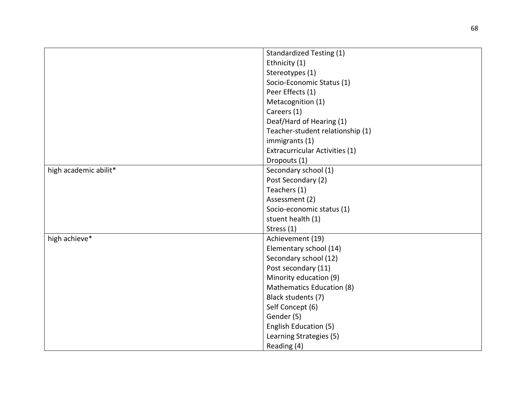|                       | <b>Standardized Testing (1)</b>  |
|-----------------------|----------------------------------|
|                       | Ethnicity (1)                    |
|                       | Stereotypes (1)                  |
|                       | Socio-Economic Status (1)        |
|                       | Peer Effects (1)                 |
|                       | Metacognition (1)                |
|                       | Careers (1)                      |
|                       | Deaf/Hard of Hearing (1)         |
|                       | Teacher-student relationship (1) |
|                       | immigrants (1)                   |
|                       | Extracurricular Activities (1)   |
|                       | Dropouts (1)                     |
| high academic abilit* | Secondary school (1)             |
|                       | Post Secondary (2)               |
|                       | Teachers (1)                     |
|                       | Assessment (2)                   |
|                       | Socio-economic status (1)        |
|                       | stuent health (1)                |
|                       | Stress (1)                       |
| high achieve*         | Achievement (19)                 |
|                       | Elementary school (14)           |
|                       | Secondary school (12)            |
|                       | Post secondary (11)              |
|                       | Minority education (9)           |
|                       | Mathematics Education (8)        |
|                       | Black students (7)               |
|                       | Self Concept (6)                 |
|                       | Gender (5)                       |
|                       | English Education (5)            |
|                       | Learning Strategies (5)          |
|                       | Reading (4)                      |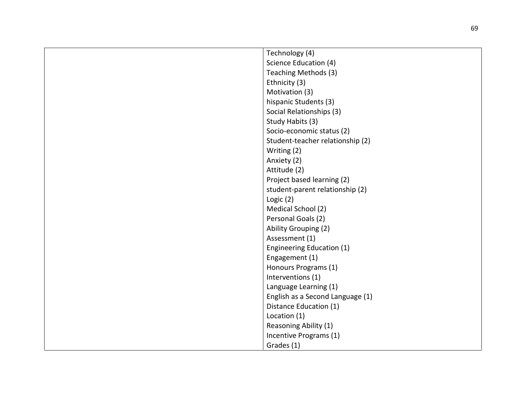| Technology (4)                   |
|----------------------------------|
| Science Education (4)            |
| Teaching Methods (3)             |
| Ethnicity (3)                    |
| Motivation (3)                   |
| hispanic Students (3)            |
|                                  |
| Social Relationships (3)         |
| Study Habits (3)                 |
| Socio-economic status (2)        |
| Student-teacher relationship (2) |
| Writing (2)                      |
| Anxiety (2)                      |
| Attitude (2)                     |
| Project based learning (2)       |
| student-parent relationship (2)  |
| Logic $(2)$                      |
| Medical School (2)               |
| Personal Goals (2)               |
| Ability Grouping (2)             |
| Assessment (1)                   |
| Engineering Education (1)        |
| Engagement (1)                   |
| Honours Programs (1)             |
| Interventions (1)                |
| Language Learning (1)            |
| English as a Second Language (1) |
| Distance Education (1)           |
| Location (1)                     |
| Reasoning Ability (1)            |
| Incentive Programs (1)           |
| Grades (1)                       |
|                                  |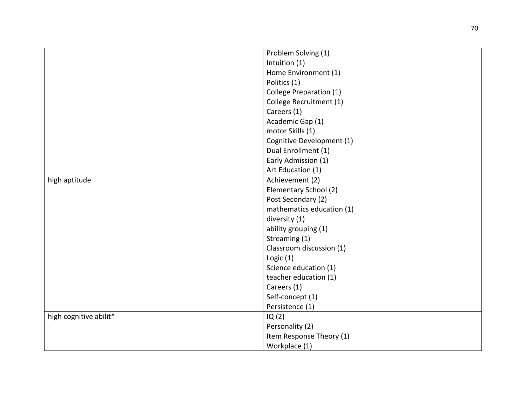|                        | Problem Solving (1)       |
|------------------------|---------------------------|
|                        | Intuition (1)             |
|                        | Home Environment (1)      |
|                        | Politics (1)              |
|                        | College Preparation (1)   |
|                        | College Recruitment (1)   |
|                        | Careers (1)               |
|                        | Academic Gap (1)          |
|                        | motor Skills (1)          |
|                        | Cognitive Development (1) |
|                        | Dual Enrollment (1)       |
|                        | Early Admission (1)       |
|                        | Art Education (1)         |
| high aptitude          | Achievement (2)           |
|                        | Elementary School (2)     |
|                        | Post Secondary (2)        |
|                        | mathematics education (1) |
|                        | diversity (1)             |
|                        | ability grouping (1)      |
|                        | Streaming (1)             |
|                        | Classroom discussion (1)  |
|                        | Logic $(1)$               |
|                        | Science education (1)     |
|                        | teacher education (1)     |
|                        | Careers (1)               |
|                        | Self-concept (1)          |
|                        | Persistence (1)           |
| high cognitive abilit* | IQ(2)                     |
|                        | Personality (2)           |
|                        | Item Response Theory (1)  |
|                        | Workplace (1)             |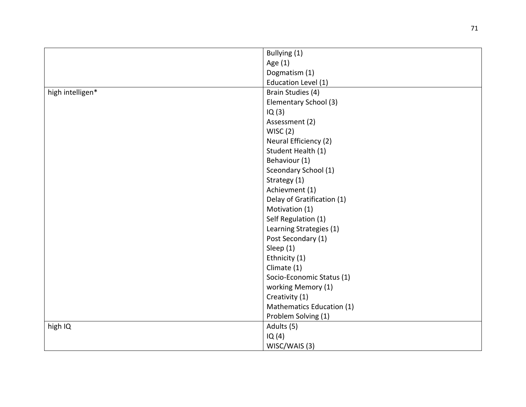|                  | Bullying (1)               |
|------------------|----------------------------|
|                  | Age (1)                    |
|                  | Dogmatism (1)              |
|                  | Education Level (1)        |
| high intelligen* | Brain Studies (4)          |
|                  | Elementary School (3)      |
|                  | IQ(3)                      |
|                  | Assessment (2)             |
|                  | WISC(2)                    |
|                  | Neural Efficiency (2)      |
|                  | Student Health (1)         |
|                  | Behaviour (1)              |
|                  | Sceondary School (1)       |
|                  | Strategy (1)               |
|                  | Achievment (1)             |
|                  | Delay of Gratification (1) |
|                  | Motivation (1)             |
|                  | Self Regulation (1)        |
|                  | Learning Strategies (1)    |
|                  | Post Secondary (1)         |
|                  | Sleep (1)                  |
|                  | Ethnicity (1)              |
|                  | Climate (1)                |
|                  | Socio-Economic Status (1)  |
|                  | working Memory (1)         |
|                  | Creativity (1)             |
|                  | Mathematics Education (1)  |
|                  | Problem Solving (1)        |
| high IQ          | Adults (5)                 |
|                  | IQ(4)                      |
|                  | WISC/WAIS (3)              |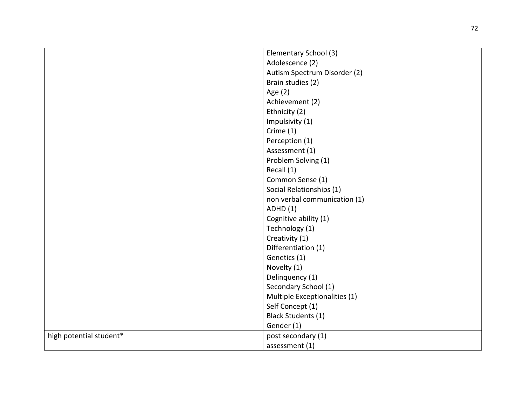|                         | Elementary School (3)         |
|-------------------------|-------------------------------|
|                         | Adolescence (2)               |
|                         | Autism Spectrum Disorder (2)  |
|                         | Brain studies (2)             |
|                         | Age (2)                       |
|                         | Achievement (2)               |
|                         | Ethnicity (2)                 |
|                         | Impulsivity (1)               |
|                         | Crime (1)                     |
|                         | Perception (1)                |
|                         | Assessment (1)                |
|                         | Problem Solving (1)           |
|                         | Recall (1)                    |
|                         | Common Sense (1)              |
|                         | Social Relationships (1)      |
|                         | non verbal communication (1)  |
|                         | <b>ADHD</b> (1)               |
|                         | Cognitive ability (1)         |
|                         | Technology (1)                |
|                         | Creativity (1)                |
|                         | Differentiation (1)           |
|                         | Genetics (1)                  |
|                         | Novelty (1)                   |
|                         | Delinquency (1)               |
|                         | Secondary School (1)          |
|                         | Multiple Exceptionalities (1) |
|                         | Self Concept (1)              |
|                         | <b>Black Students (1)</b>     |
|                         | Gender (1)                    |
| high potential student* | post secondary (1)            |
|                         | assessment (1)                |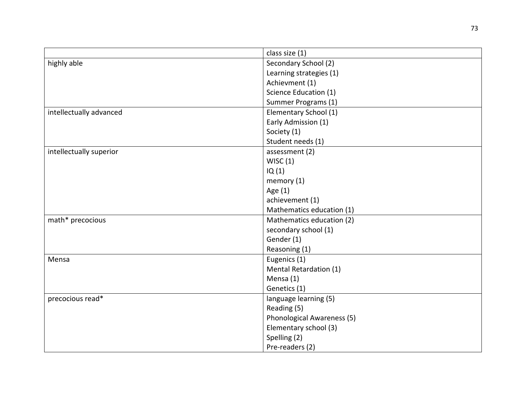|                         | class size (1)             |
|-------------------------|----------------------------|
| highly able             | Secondary School (2)       |
|                         | Learning strategies (1)    |
|                         | Achievment (1)             |
|                         | Science Education (1)      |
|                         | Summer Programs (1)        |
| intellectually advanced | Elementary School (1)      |
|                         | Early Admission (1)        |
|                         | Society (1)                |
|                         | Student needs (1)          |
| intellectually superior | assessment (2)             |
|                         | WISC(1)                    |
|                         | IQ(1)                      |
|                         | memory $(1)$               |
|                         | Age (1)                    |
|                         | achievement (1)            |
|                         | Mathematics education (1)  |
| math* precocious        | Mathematics education (2)  |
|                         | secondary school (1)       |
|                         | Gender (1)                 |
|                         | Reasoning (1)              |
| Mensa                   | Eugenics (1)               |
|                         | Mental Retardation (1)     |
|                         | Mensa (1)                  |
|                         | Genetics (1)               |
| precocious read*        | language learning (5)      |
|                         | Reading (5)                |
|                         | Phonological Awareness (5) |
|                         | Elementary school (3)      |
|                         | Spelling (2)               |
|                         | Pre-readers (2)            |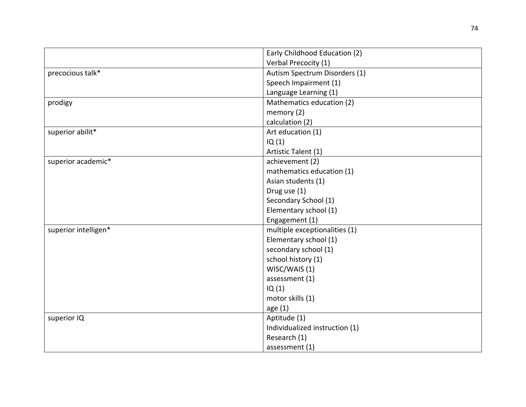|                      | Early Childhood Education (2)  |
|----------------------|--------------------------------|
|                      | Verbal Precocity (1)           |
| precocious talk*     | Autism Spectrum Disorders (1)  |
|                      | Speech Impairment (1)          |
|                      | Language Learning (1)          |
| prodigy              | Mathematics education (2)      |
|                      | memory (2)                     |
|                      | calculation (2)                |
| superior abilit*     | Art education (1)              |
|                      | IQ(1)                          |
|                      | Artistic Talent (1)            |
| superior academic*   | achievement (2)                |
|                      | mathematics education (1)      |
|                      | Asian students (1)             |
|                      | Drug use (1)                   |
|                      | Secondary School (1)           |
|                      | Elementary school (1)          |
|                      | Engagement (1)                 |
| superior intelligen* | multiple exceptionalities (1)  |
|                      | Elementary school (1)          |
|                      | secondary school (1)           |
|                      | school history (1)             |
|                      | WISC/WAIS (1)                  |
|                      | assessment (1)                 |
|                      | IQ(1)                          |
|                      | motor skills (1)               |
|                      | age(1)                         |
| superior IQ          | Aptitude (1)                   |
|                      | Individualized instruction (1) |
|                      | Research (1)                   |
|                      | assessment (1)                 |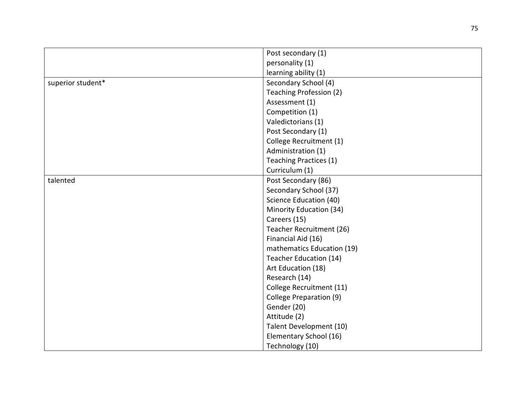|                   | Post secondary (1)         |
|-------------------|----------------------------|
|                   | personality (1)            |
|                   | learning ability (1)       |
| superior student* | Secondary School (4)       |
|                   | Teaching Profession (2)    |
|                   | Assessment (1)             |
|                   | Competition (1)            |
|                   | Valedictorians (1)         |
|                   | Post Secondary (1)         |
|                   | College Recruitment (1)    |
|                   | Administration (1)         |
|                   | Teaching Practices (1)     |
|                   | Curriculum (1)             |
| talented          | Post Secondary (86)        |
|                   | Secondary School (37)      |
|                   | Science Education (40)     |
|                   | Minority Education (34)    |
|                   | Careers (15)               |
|                   | Teacher Recruitment (26)   |
|                   | Financial Aid (16)         |
|                   | mathematics Education (19) |
|                   | Teacher Education (14)     |
|                   | Art Education (18)         |
|                   | Research (14)              |
|                   | College Recruitment (11)   |
|                   | College Preparation (9)    |
|                   | Gender (20)                |
|                   | Attitude (2)               |
|                   | Talent Development (10)    |
|                   | Elementary School (16)     |
|                   | Technology (10)            |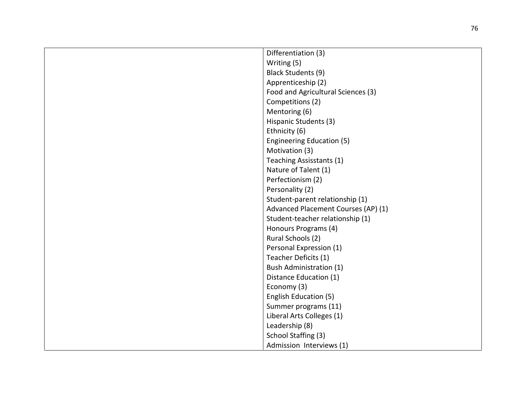| Differentiation (3)                 |
|-------------------------------------|
| Writing (5)                         |
| Black Students (9)                  |
| Apprenticeship (2)                  |
| Food and Agricultural Sciences (3)  |
| Competitions (2)                    |
| Mentoring (6)                       |
| Hispanic Students (3)               |
| Ethnicity (6)                       |
| <b>Engineering Education (5)</b>    |
| Motivation (3)                      |
| Teaching Assisstants (1)            |
| Nature of Talent (1)                |
| Perfectionism (2)                   |
| Personality (2)                     |
| Student-parent relationship (1)     |
| Advanced Placement Courses (AP) (1) |
| Student-teacher relationship (1)    |
| Honours Programs (4)                |
| Rural Schools (2)                   |
| Personal Expression (1)             |
| Teacher Deficits (1)                |
| <b>Bush Administration (1)</b>      |
| Distance Education (1)              |
| Economy (3)                         |
| English Education (5)               |
| Summer programs (11)                |
| Liberal Arts Colleges (1)           |
| Leadership (8)                      |
| School Staffing (3)                 |
| Admission Interviews (1)            |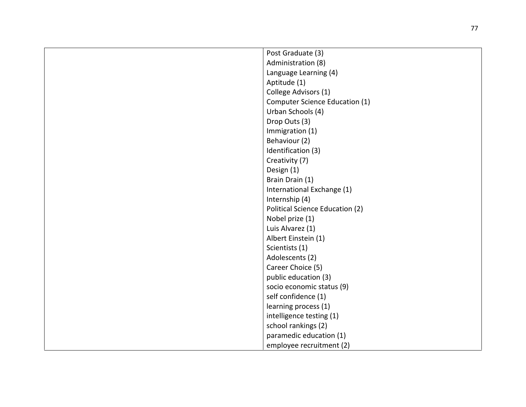| Post Graduate (3)                     |
|---------------------------------------|
| Administration (8)                    |
| Language Learning (4)                 |
| Aptitude (1)                          |
| College Advisors (1)                  |
| <b>Computer Science Education (1)</b> |
| Urban Schools (4)                     |
| Drop Outs (3)                         |
| Immigration (1)                       |
| Behaviour (2)                         |
| Identification (3)                    |
| Creativity (7)                        |
| Design (1)                            |
| Brain Drain (1)                       |
| International Exchange (1)            |
| Internship (4)                        |
| Political Science Education (2)       |
| Nobel prize (1)                       |
| Luis Alvarez (1)                      |
| Albert Einstein (1)                   |
| Scientists (1)                        |
| Adolescents (2)                       |
| Career Choice (5)                     |
| public education (3)                  |
| socio economic status (9)             |
| self confidence (1)                   |
| learning process (1)                  |
| intelligence testing (1)              |
| school rankings (2)                   |
| paramedic education (1)               |
| employee recruitment (2)              |
|                                       |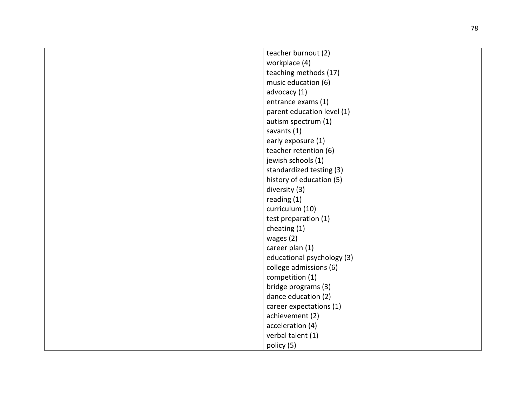| teacher burnout (2)        |
|----------------------------|
| workplace (4)              |
| teaching methods (17)      |
| music education (6)        |
| advocacy (1)               |
| entrance exams (1)         |
| parent education level (1) |
| autism spectrum (1)        |
| savants (1)                |
| early exposure (1)         |
| teacher retention (6)      |
| jewish schools (1)         |
| standardized testing (3)   |
| history of education (5)   |
| diversity (3)              |
| reading (1)                |
| curriculum (10)            |
| test preparation (1)       |
| cheating (1)               |
| wages $(2)$                |
| career plan (1)            |
| educational psychology (3) |
| college admissions (6)     |
| competition (1)            |
| bridge programs (3)        |
| dance education (2)        |
| career expectations (1)    |
| achievement (2)            |
| acceleration (4)           |
| verbal talent (1)          |
| policy (5)                 |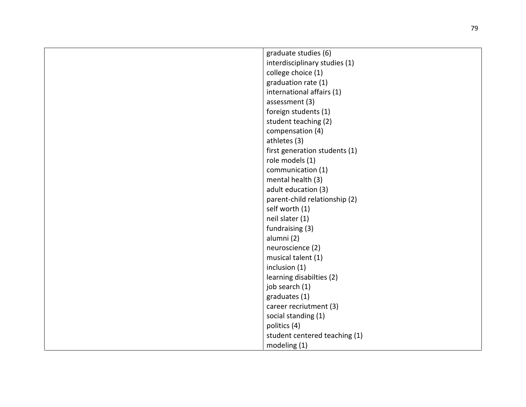| graduate studies (6)          |
|-------------------------------|
| interdisciplinary studies (1) |
| college choice (1)            |
| graduation rate (1)           |
| international affairs (1)     |
| assessment (3)                |
| foreign students (1)          |
| student teaching (2)          |
| compensation (4)              |
| athletes (3)                  |
| first generation students (1) |
| role models (1)               |
| communication (1)             |
| mental health (3)             |
| adult education (3)           |
| parent-child relationship (2) |
| self worth (1)                |
| neil slater (1)               |
| fundraising (3)               |
| alumni (2)                    |
| neuroscience (2)              |
| musical talent (1)            |
| inclusion (1)                 |
| learning disabilties (2)      |
| job search (1)                |
| graduates (1)                 |
| career recriutment (3)        |
| social standing (1)           |
| politics (4)                  |
| student centered teaching (1) |
| modeling (1)                  |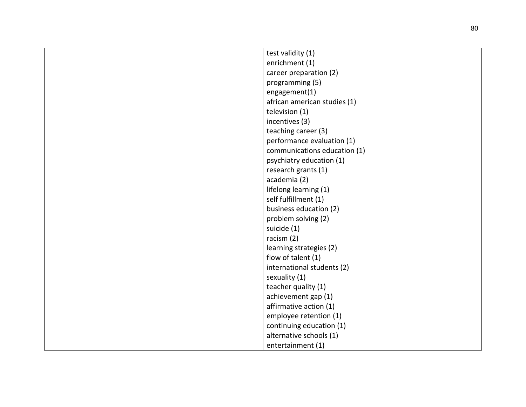| test validity (1)            |
|------------------------------|
| enrichment (1)               |
| career preparation (2)       |
| programming (5)              |
| engagement(1)                |
| african american studies (1) |
| television (1)               |
| incentives (3)               |
| teaching career (3)          |
| performance evaluation (1)   |
| communications education (1) |
| psychiatry education (1)     |
| research grants (1)          |
| academia (2)                 |
| lifelong learning (1)        |
| self fulfillment (1)         |
| business education (2)       |
| problem solving (2)          |
| suicide (1)                  |
| racism (2)                   |
| learning strategies (2)      |
| flow of talent (1)           |
| international students (2)   |
| sexuality (1)                |
| teacher quality (1)          |
| achievement gap (1)          |
| affirmative action (1)       |
| employee retention (1)       |
| continuing education (1)     |
| alternative schools (1)      |
| entertainment (1)            |
|                              |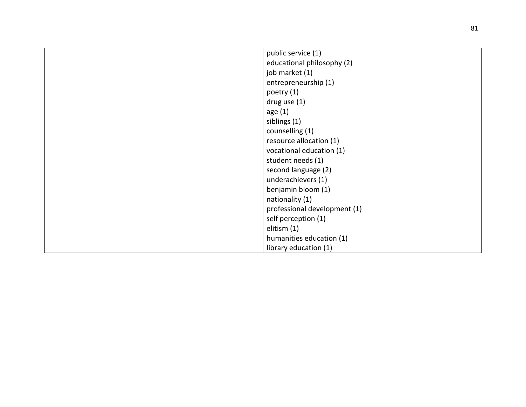| public service (1)<br>educational philosophy (2)<br>job market (1)<br>entrepreneurship (1)<br>poetry (1)<br>drug use $(1)$<br>age $(1)$<br>siblings (1)<br>counselling (1)<br>resource allocation (1)<br>vocational education (1)<br>student needs (1)<br>second language (2)<br>underachievers (1)<br>benjamin bloom (1)<br>nationality (1)<br>professional development (1)<br>self perception (1)<br>elitism (1)<br>humanities education (1) |  |
|------------------------------------------------------------------------------------------------------------------------------------------------------------------------------------------------------------------------------------------------------------------------------------------------------------------------------------------------------------------------------------------------------------------------------------------------|--|
|                                                                                                                                                                                                                                                                                                                                                                                                                                                |  |
|                                                                                                                                                                                                                                                                                                                                                                                                                                                |  |
|                                                                                                                                                                                                                                                                                                                                                                                                                                                |  |
|                                                                                                                                                                                                                                                                                                                                                                                                                                                |  |
|                                                                                                                                                                                                                                                                                                                                                                                                                                                |  |
|                                                                                                                                                                                                                                                                                                                                                                                                                                                |  |
|                                                                                                                                                                                                                                                                                                                                                                                                                                                |  |
|                                                                                                                                                                                                                                                                                                                                                                                                                                                |  |
|                                                                                                                                                                                                                                                                                                                                                                                                                                                |  |
|                                                                                                                                                                                                                                                                                                                                                                                                                                                |  |
|                                                                                                                                                                                                                                                                                                                                                                                                                                                |  |
|                                                                                                                                                                                                                                                                                                                                                                                                                                                |  |
|                                                                                                                                                                                                                                                                                                                                                                                                                                                |  |
|                                                                                                                                                                                                                                                                                                                                                                                                                                                |  |
|                                                                                                                                                                                                                                                                                                                                                                                                                                                |  |
|                                                                                                                                                                                                                                                                                                                                                                                                                                                |  |
|                                                                                                                                                                                                                                                                                                                                                                                                                                                |  |
|                                                                                                                                                                                                                                                                                                                                                                                                                                                |  |
|                                                                                                                                                                                                                                                                                                                                                                                                                                                |  |
|                                                                                                                                                                                                                                                                                                                                                                                                                                                |  |
| library education (1)                                                                                                                                                                                                                                                                                                                                                                                                                          |  |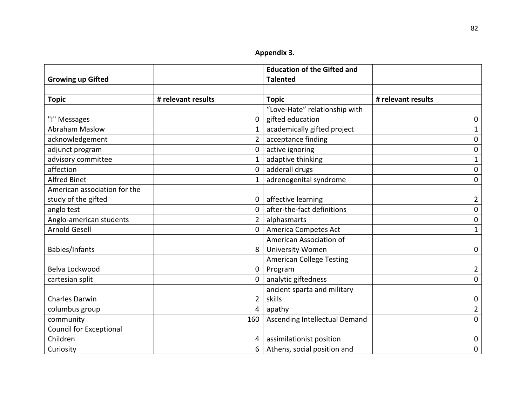|  |  | Appendix 3. |
|--|--|-------------|
|  |  |             |

|                                |                    | <b>Education of the Gifted and</b> |                    |
|--------------------------------|--------------------|------------------------------------|--------------------|
| <b>Growing up Gifted</b>       |                    | <b>Talented</b>                    |                    |
| <b>Topic</b>                   | # relevant results | <b>Topic</b>                       | # relevant results |
|                                |                    | "Love-Hate" relationship with      |                    |
| "I" Messages                   | $\mathbf 0$        | gifted education                   | 0                  |
| <b>Abraham Maslow</b>          | 1                  | academically gifted project        | $\mathbf{1}$       |
| acknowledgement                | $2^{\circ}$        | acceptance finding                 | 0                  |
| adjunct program                | $\mathbf{0}$       | active ignoring                    | 0                  |
| advisory committee             | $\mathbf{1}$       | adaptive thinking                  | 1                  |
| affection                      | $\mathbf 0$        | adderall drugs                     | $\boldsymbol{0}$   |
| <b>Alfred Binet</b>            | $\mathbf{1}$       | adrenogenital syndrome             | $\mathbf 0$        |
| American association for the   |                    |                                    |                    |
| study of the gifted            | $\mathbf 0$        | affective learning                 | 2                  |
| anglo test                     | $\Omega$           | after-the-fact definitions         | $\pmb{0}$          |
| Anglo-american students        | $\overline{2}$     | alphasmarts                        | 0                  |
| <b>Arnold Gesell</b>           | $\Omega$           | America Competes Act               | $\mathbf{1}$       |
|                                |                    | American Association of            |                    |
| Babies/Infants                 | 8                  | <b>University Women</b>            | $\mathbf 0$        |
|                                |                    | <b>American College Testing</b>    |                    |
| Belva Lockwood                 | $\mathbf 0$        | Program                            | $\overline{2}$     |
| cartesian split                | 0                  | analytic giftedness                | 0                  |
|                                |                    | ancient sparta and military        |                    |
| <b>Charles Darwin</b>          | $\overline{2}$     | skills                             | 0                  |
| columbus group                 | 4                  | apathy                             | $\overline{2}$     |
| community                      | 160                | Ascending Intellectual Demand      | $\mathbf 0$        |
| <b>Council for Exceptional</b> |                    |                                    |                    |
| Children                       | 4                  | assimilationist position           | 0                  |
| Curiosity                      | 6                  | Athens, social position and        | $\mathbf 0$        |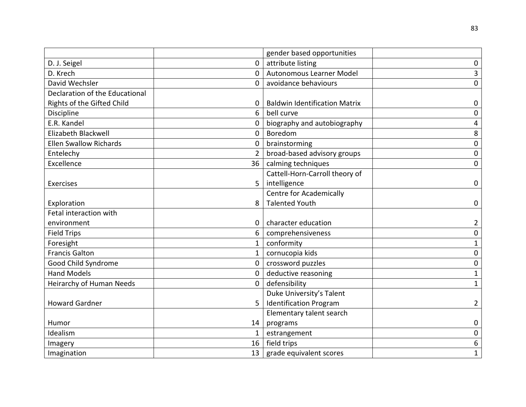|                                |                | gender based opportunities           |                  |
|--------------------------------|----------------|--------------------------------------|------------------|
| D. J. Seigel                   | 0              | attribute listing                    | $\mathbf 0$      |
| D. Krech                       | 0              | <b>Autonomous Learner Model</b>      | $\overline{3}$   |
| David Wechsler                 | 0              | avoidance behaviours                 | $\mathbf 0$      |
| Declaration of the Educational |                |                                      |                  |
| Rights of the Gifted Child     | 0              | <b>Baldwin Identification Matrix</b> | 0                |
| Discipline                     | 6              | bell curve                           | $\mathbf 0$      |
| E.R. Kandel                    | 0              | biography and autobiography          | 4                |
| Elizabeth Blackwell            | $\mathbf 0$    | Boredom                              | $\,8\,$          |
| <b>Ellen Swallow Richards</b>  | 0              | brainstorming                        | $\mathbf 0$      |
| Entelechy                      | $\overline{2}$ | broad-based advisory groups          | $\mathbf 0$      |
| Excellence                     | 36             | calming techniques                   | $\mathbf 0$      |
|                                |                | Cattell-Horn-Carroll theory of       |                  |
| Exercises                      | 5              | intelligence                         | 0                |
|                                |                | <b>Centre for Academically</b>       |                  |
| Exploration                    | 8              | <b>Talented Youth</b>                | $\mathbf 0$      |
| Fetal interaction with         |                |                                      |                  |
| environment                    | 0              | character education                  | $\overline{2}$   |
| <b>Field Trips</b>             | 6              | comprehensiveness                    | $\mathbf 0$      |
| Foresight                      | $\mathbf{1}$   | conformity                           | $\mathbf{1}$     |
| <b>Francis Galton</b>          | $\mathbf{1}$   | cornucopia kids                      | 0                |
| Good Child Syndrome            | $\mathbf 0$    | crossword puzzles                    | $\boldsymbol{0}$ |
| <b>Hand Models</b>             | 0              | deductive reasoning                  | $\mathbf{1}$     |
| Heirarchy of Human Needs       | $\mathbf{0}$   | defensibility                        | $\mathbf{1}$     |
|                                |                | Duke University's Talent             |                  |
| <b>Howard Gardner</b>          | 5              | <b>Identification Program</b>        | $\overline{2}$   |
|                                |                | Elementary talent search             |                  |
| Humor                          | 14             | programs                             | $\mathbf 0$      |
| Idealism                       | $\mathbf{1}$   | estrangement                         | $\mathbf 0$      |
| Imagery                        | 16             | field trips                          | 6                |
| Imagination                    | 13             | grade equivalent scores              | $\mathbf{1}$     |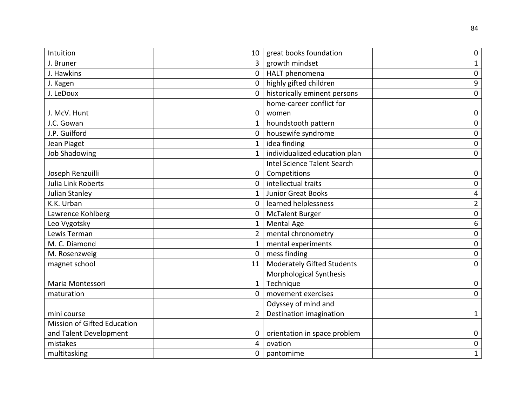| Intuition                          | 10             | great books foundation             | $\mathbf 0$      |
|------------------------------------|----------------|------------------------------------|------------------|
| J. Bruner                          | 3 <sup>1</sup> | growth mindset                     | 1                |
| J. Hawkins                         | 0              | HALT phenomena                     | 0                |
| J. Kagen                           | $\mathbf{0}$   | highly gifted children             | $\boldsymbol{9}$ |
| J. LeDoux                          | 0              | historically eminent persons       | $\mathbf 0$      |
|                                    |                | home-career conflict for           |                  |
| J. McV. Hunt                       | 0              | women                              | 0                |
| J.C. Gowan                         | $\mathbf{1}$   | houndstooth pattern                | $\mathbf 0$      |
| J.P. Guilford                      | $\mathbf{0}$   | housewife syndrome                 | 0                |
| Jean Piaget                        | $\mathbf 1$    | idea finding                       | 0                |
| <b>Job Shadowing</b>               | $\mathbf{1}$   | individualized education plan      | $\mathbf 0$      |
|                                    |                | <b>Intel Science Talent Search</b> |                  |
| Joseph Renzuilli                   | 0              | Competitions                       | 0                |
| Julia Link Roberts                 | $\mathbf{0}$   | intellectual traits                | 0                |
| Julian Stanley                     | $\mathbf{1}$   | <b>Junior Great Books</b>          | 4                |
| K.K. Urban                         | $\mathbf{0}$   | learned helplessness               | $\overline{2}$   |
| Lawrence Kohlberg                  | 0              | <b>McTalent Burger</b>             | 0                |
| Leo Vygotsky                       | $\mathbf{1}$   | <b>Mental Age</b>                  | 6                |
| Lewis Terman                       | $2^{1}$        | mental chronometry                 | $\mathbf 0$      |
| M. C. Diamond                      | $\mathbf{1}$   | mental experiments                 | 0                |
| M. Rosenzweig                      | $\mathbf{0}$   | mess finding                       | $\mathbf 0$      |
| magnet school                      | 11             | <b>Moderately Gifted Students</b>  | $\mathbf 0$      |
|                                    |                | Morphological Synthesis            |                  |
| Maria Montessori                   | $\mathbf{1}$   | Technique                          | 0                |
| maturation                         | 0              | movement exercises                 | 0                |
|                                    |                | Odyssey of mind and                |                  |
| mini course                        | $\overline{2}$ | Destination imagination            | 1                |
| <b>Mission of Gifted Education</b> |                |                                    |                  |
| and Talent Development             | 0              | orientation in space problem       | $\mathbf 0$      |
| mistakes                           | 4              | ovation                            | 0                |
| multitasking                       | $\mathbf{0}$   | pantomime                          | $\mathbf{1}$     |
|                                    |                |                                    |                  |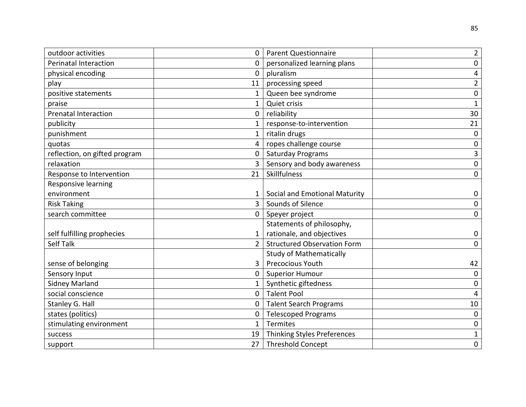| outdoor activities            | <b>Parent Questionnaire</b>        |
|-------------------------------|------------------------------------|
| 0                             | $\overline{2}$                     |
| <b>Perinatal Interaction</b>  | personalized learning plans        |
| 0                             | $\mathbf 0$                        |
| 0                             | pluralism                          |
| physical encoding             | 4                                  |
| 11                            | $\overline{2}$                     |
| play                          | processing speed                   |
| positive statements           | Queen bee syndrome                 |
| $\mathbf{1}$                  | 0                                  |
| 1                             | Quiet crisis                       |
| praise                        | $\mathbf{1}$                       |
| 0                             | 30                                 |
| <b>Prenatal Interaction</b>   | reliability                        |
| publicity                     | response-to-intervention           |
| 1                             | 21                                 |
| punishment                    | ritalin drugs                      |
| 1                             | 0                                  |
| 4                             | ropes challenge course             |
| quotas                        | $\pmb{0}$                          |
| reflection, on gifted program | <b>Saturday Programs</b>           |
| 0                             | 3                                  |
| 3                             | Sensory and body awareness         |
| relaxation                    | $\mathbf 0$                        |
| 21                            | Skillfulness                       |
| Response to Intervention      | 0                                  |
| Responsive learning           |                                    |
| environment                   | Social and Emotional Maturity      |
| 1                             | $\mathbf 0$                        |
| <b>Risk Taking</b>            | Sounds of Silence                  |
| $\overline{3}$                | 0                                  |
| search committee              | Speyer project                     |
| 0                             | 0                                  |
|                               | Statements of philosophy,          |
| self fulfilling prophecies    | rationale, and objectives          |
| 1                             | $\mathbf 0$                        |
| <b>Self Talk</b>              | <b>Structured Observation Form</b> |
| $\overline{2}$                | 0                                  |
|                               | <b>Study of Mathematically</b>     |
| sense of belonging            | <b>Precocious Youth</b>            |
| 3                             | 42                                 |
| 0                             | <b>Superior Humour</b>             |
| Sensory Input                 | $\mathbf 0$                        |
| <b>Sidney Marland</b>         | Synthetic giftedness               |
| 1                             | 0                                  |
| social conscience             | <b>Talent Pool</b>                 |
| 0                             | 4                                  |
| Stanley G. Hall               | <b>Talent Search Programs</b>      |
| 0                             | 10                                 |
| states (politics)             | <b>Telescoped Programs</b>         |
| 0                             | 0                                  |
| $\mathbf{1}$                  | Termites                           |
| stimulating environment       | $\pmb{0}$                          |
| 19                            | Thinking Styles Preferences        |
| success                       | $\mathbf{1}$                       |
| 27                            | <b>Threshold Concept</b>           |
| support                       | 0                                  |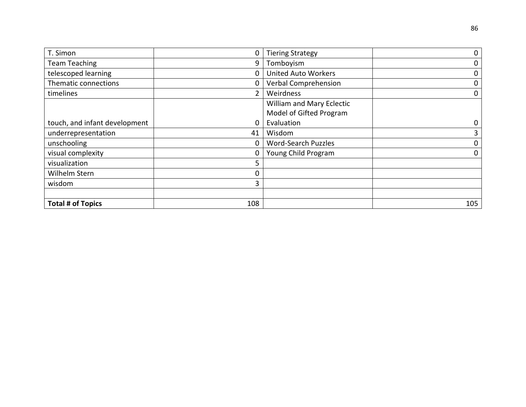| T. Simon                      | 0              | <b>Tiering Strategy</b>     | $\mathbf 0$ |
|-------------------------------|----------------|-----------------------------|-------------|
| <b>Team Teaching</b>          | 9              | Tomboyism                   | $\mathbf 0$ |
| telescoped learning           | 0              | <b>United Auto Workers</b>  | 0           |
| Thematic connections          | 0              | <b>Verbal Comprehension</b> | 0           |
| timelines                     | $\overline{2}$ | Weirdness                   | $\mathbf 0$ |
|                               |                | William and Mary Eclectic   |             |
|                               |                | Model of Gifted Program     |             |
| touch, and infant development | 0              | Evaluation                  | 0           |
| underrepresentation           | 41             | Wisdom                      | 3           |
| unschooling                   | 0              | <b>Word-Search Puzzles</b>  | 0           |
| visual complexity             | 0              | Young Child Program         | 0           |
| visualization                 | 5              |                             |             |
| Wilhelm Stern                 | 0              |                             |             |
| wisdom                        | 3              |                             |             |
|                               |                |                             |             |
| <b>Total # of Topics</b>      | 108            |                             | 105         |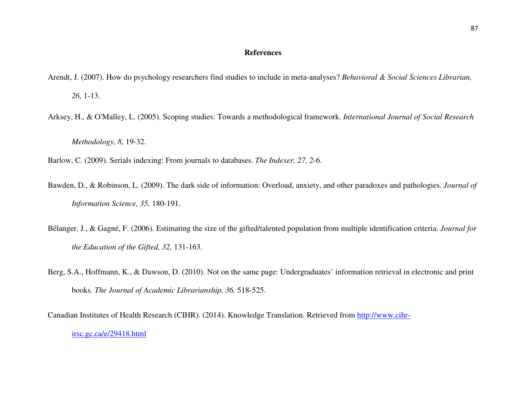## **References**

Arendt, J. (2007). How do psychology researchers find studies to include in meta-analyses? *Behavioral & Social Sciences Librarian, 26,* 1-13.

Arksey, H., & O'Malley, L. (2005). Scoping studies: Towards a methodological framework. *International Journal of Social Research* 

*Methodology, 8,* 19-32.

Barlow, C. (2009). Serials indexing: From journals to databases. *The Indexer, 27,* 2-6.

- Bawden, D., & Robinson, L. (2009). The dark side of information: Overload, anxiety, and other paradoxes and pathologies. *Journal of Information Science, 35,* 180-191.
- Bélanger, J., & Gagné, F. (2006). Estimating the size of the gifted/talented population from multiple identification criteria. *Journal for the Education of the Gifted, 32,* 131-163.
- Berg, S.A., Hoffmann, K., & Dawson, D. (2010). Not on the same page: Undergraduates' information retrieval in electronic and print books. *The Journal of Academic Librarianship, 36,* 518-525.

Canadian Institutes of Health Research (CIHR). (2014). Knowledge Translation. Retrieved from http://www.cihrirsc.gc.ca/e/29418.html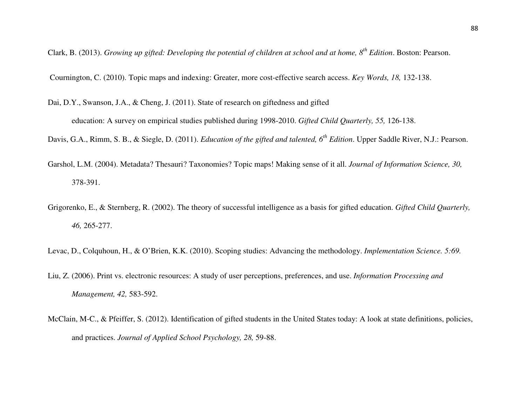Clark, B. (2013). *Growing up gifted: Developing the potential of children at school and at home, 8th Edition*. Boston: Pearson.

Cournington, C. (2010). Topic maps and indexing: Greater, more cost-effective search access. *Key Words, 18,* 132-138.

Dai, D.Y., Swanson, J.A., & Cheng, J. (2011). State of research on giftedness and gifted

education: A survey on empirical studies published during 1998-2010. *Gifted Child Quarterly, 55,* 126-138.

Davis, G.A., Rimm, S. B., & Siegle, D. (2011). *Education of the gifted and talented, 6th Edition*. Upper Saddle River, N.J.: Pearson.

- Garshol, L.M. (2004). Metadata? Thesauri? Taxonomies? Topic maps! Making sense of it all. *Journal of Information Science, 30,* 378-391.
- Grigorenko, E., & Sternberg, R. (2002). The theory of successful intelligence as a basis for gifted education. *Gifted Child Quarterly, 46,* 265-277.
- Levac, D., Colquhoun, H., & O'Brien, K.K. (2010). Scoping studies: Advancing the methodology. *Implementation Science. 5:69.*
- Liu, Z. (2006). Print vs. electronic resources: A study of user perceptions, preferences, and use. *Information Processing and Management, 42,* 583-592.
- McClain, M-C., & Pfeiffer, S. (2012). Identification of gifted students in the United States today: A look at state definitions, policies, and practices. *Journal of Applied School Psychology, 28,* 59-88.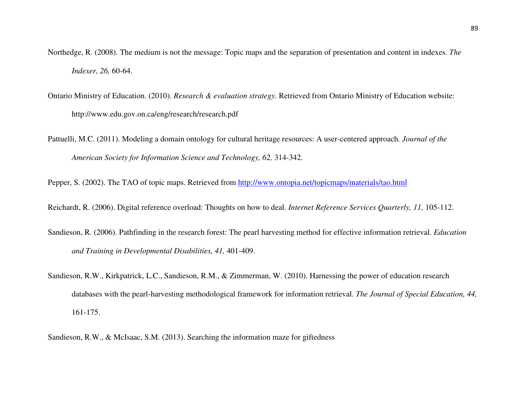- Northedge, R. (2008). The medium is not the message: Topic maps and the separation of presentation and content in indexes. *The Indexer, 26,* 60-64.
- Ontario Ministry of Education. (2010). *Research & evaluation strategy*. Retrieved from Ontario Ministry of Education website: http://www.edu.gov.on.ca/eng/research/research.pdf
- Pattuelli, M.C. (2011). Modeling a domain ontology for cultural heritage resources: A user-centered approach. *Journal of the American Society for Information Science and Technology, 62,* 314-342.

Pepper, S. (2002). The TAO of topic maps. Retrieved from http://www.ontopia.net/topicmaps/materials/tao.html

Reichardt, R. (2006). Digital reference overload: Thoughts on how to deal. *Internet Reference Services Quarterly, 11,* 105-112.

- Sandieson, R. (2006). Pathfinding in the research forest: The pearl harvesting method for effective information retrieval. *Education and Training in Developmental Disabilities, 41,* 401-409.
- Sandieson, R.W., Kirkpatrick, L.C., Sandieson, R.M., & Zimmerman, W. (2010). Harnessing the power of education research databases with the pearl-harvesting methodological framework for information retrieval. *The Journal of Special Education, 44,* 161-175.

Sandieson, R.W., & McIsaac, S.M. (2013). Searching the information maze for giftedness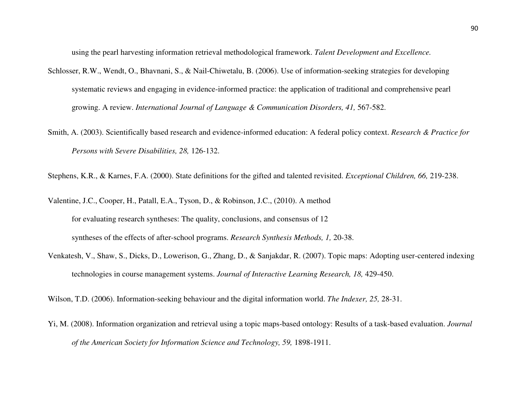using the pearl harvesting information retrieval methodological framework. *Talent Development and Excellence.*

- Schlosser, R.W., Wendt, O., Bhavnani, S., & Nail-Chiwetalu, B. (2006). Use of information-seeking strategies for developing systematic reviews and engaging in evidence-informed practice: the application of traditional and comprehensive pearl growing. A review. *International Journal of Language & Communication Disorders, 41,* 567-582.
- Smith, A. (2003). Scientifically based research and evidence-informed education: A federal policy context. *Research & Practice for Persons with Severe Disabilities, 28,* 126-132.

Stephens, K.R., & Karnes, F.A. (2000). State definitions for the gifted and talented revisited. *Exceptional Children, 66,* 219-238.

Valentine, J.C., Cooper, H., Patall, E.A., Tyson, D., & Robinson, J.C., (2010). A method

for evaluating research syntheses: The quality, conclusions, and consensus of 12 syntheses of the effects of after-school programs. *Research Synthesis Methods, 1,* 20-38.

Venkatesh, V., Shaw, S., Dicks, D., Lowerison, G., Zhang, D., & Sanjakdar, R. (2007). Topic maps: Adopting user-centered indexing technologies in course management systems. *Journal of Interactive Learning Research*, 18, 429-450.

Wilson, T.D. (2006). Information-seeking behaviour and the digital information world. *The Indexer, 25,* 28-31.

Yi, M. (2008). Information organization and retrieval using a topic maps-based ontology: Results of a task-based evaluation. *Journal of the American Society for Information Science and Technology, 59,* 1898-1911.